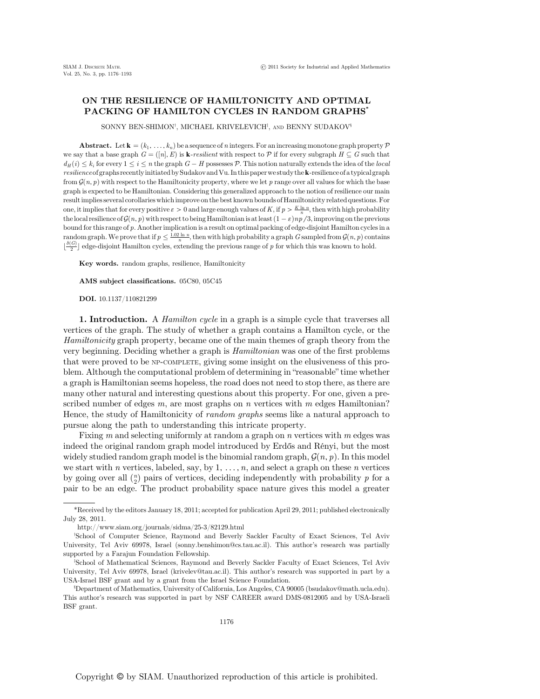## ON THE RESILIENCE OF HAMILTONICITY AND OPTIMAL PACKING OF HAMILTON CYCLES IN RANDOM GRAPHS\*

SONNY BEN-SHIMON<sup>†</sup>, MICHAEL KRIVELEVICH<sup>‡</sup>, and BENNY SUDAKOV<sup>§</sup>

**Abstract.** Let  $\mathbf{k} = (k_1, \ldots, k_n)$  be a sequence of n integers. For an increasing monotone graph property  $\mathcal{P}$ we say that a base graph  $G = ([n], E)$  is **k**-resilient with respect to P if for every subgraph  $H \subseteq G$  such that  $d_H(i) \leq k_i$  for every  $1 \leq i \leq n$  the graph  $G - H$  possesses P. This notion naturally extends the idea of the local resilience of graphs recently initiated by Sudakov and Vu. In this paper we study the k-resilience of a typical graph from  $\mathcal{G}(n, p)$  with respect to the Hamiltonicity property, where we let p range over all values for which the base graph is expected to be Hamiltonian. Considering this generalized approach to the notion of resilience our main result implies several corollaries which improve on the best known bounds of Hamiltonicity related questions. For one, it implies that for every positive  $\varepsilon > 0$  and large enough values of K, if  $p > \frac{K \ln n}{n}$ , then with high probability the local resilience of  $\mathcal{G}(n, p)$  with respect to being Hamiltonian is at least  $(1 - \varepsilon)np/3$ , improving on the previous bound for this range of p. Another implication is a result on optimal packing of edge-disjoint Hamilton cycles in a random graph. We prove that if  $p \leq \frac{1.02 \ln n}{n}$ , then with high probability a graph G sampled from  $\mathcal{G}(n, p)$  contains  $1^{\delta(G)}$  and discuss  $\frac{1}{\delta(G)}$  and discussion the provision when  $\frac{1}{\delta(G)}$  and discussion to  $\lfloor \frac{\delta(G)}{2} \rfloor$  edge-disjoint Hamilton cycles, extending the previous range of p for which this was known to hold.

Key words. random graphs, resilience, Hamiltonicity

AMS subject classifications. 05C80, 05C45

DOI. 10.1137/110821299

1. Introduction. A *Hamilton cycle* in a graph is a simple cycle that traverses all vertices of the graph. The study of whether a graph contains a Hamilton cycle, or the Hamiltonicity graph property, became one of the main themes of graph theory from the very beginning. Deciding whether a graph is Hamiltonian was one of the first problems that were proved to be NP-COMPLETE, giving some insight on the elusiveness of this problem. Although the computational problem of determining in "reasonable" time whether a graph is Hamiltonian seems hopeless, the road does not need to stop there, as there are many other natural and interesting questions about this property. For one, given a prescribed number of edges  $m$ , are most graphs on  $n$  vertices with  $m$  edges Hamiltonian? Hence, the study of Hamiltonicity of random graphs seems like a natural approach to pursue along the path to understanding this intricate property.

Fixing  $m$  and selecting uniformly at random a graph on  $n$  vertices with  $m$  edges was indeed the original random graph model introduced by Erdős and Rényi, but the most widely studied random graph model is the binomial random graph,  $\mathcal{G}(n, p)$ . In this model we start with n vertices, labeled, say, by 1,  $\dots$ , n, and select a graph on these n vertices by going over all  $\binom{n}{2}$  pairs of vertices, deciding independently with probability p for a pair to be an edge. The product probability space nature gives this model a greater pair to be an edge. The product probability space nature gives this model a greater

<sup>\*</sup>Received by the editors January 18, 2011; accepted for publication April 29, 2011; published electronically July 28, 2011.

http://www.siam.org/journals/sidma/25-3/82129.html

<sup>†</sup> School of Computer Science, Raymond and Beverly Sackler Faculty of Exact Sciences, Tel Aviv University, Tel Aviv 69978, Israel (sonny.benshimon@cs.tau.ac.il). This author's research was partially supported by a Farajun Foundation Fellowship.

<sup>‡</sup> School of Mathematical Sciences, Raymond and Beverly Sackler Faculty of Exact Sciences, Tel Aviv University, Tel Aviv 69978, Israel (krivelev@tau.ac.il). This author's research was supported in part by a USA-Israel BSF grant and by a grant from the Israel Science Foundation.

<sup>§</sup> Department of Mathematics, University of California, Los Angeles, CA 90005 (bsudakov@math.ucla.edu). This author's research was supported in part by NSF CAREER award DMS-0812005 and by USA-Israeli BSF grant.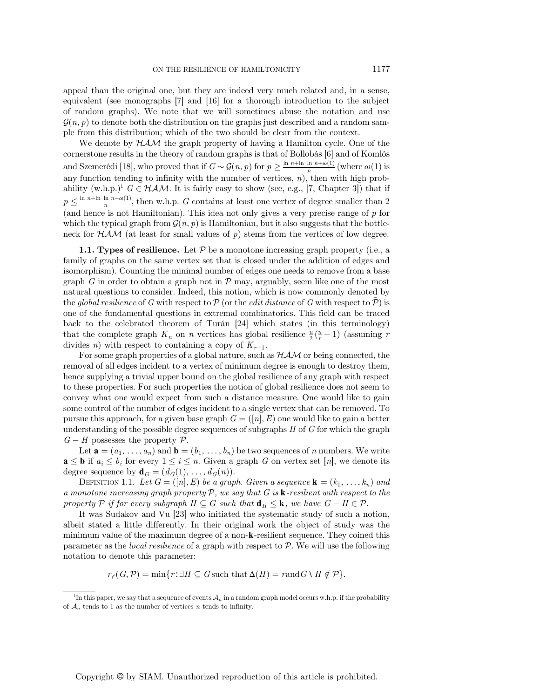appeal than the original one, but they are indeed very much related and, in a sense, equivalent (see monographs [7] and [16] for a thorough introduction to the subject of random graphs). We note that we will sometimes abuse the notation and use  $\mathcal{G}(n, p)$  to denote both the distribution on the graphs just described and a random sample from this distribution; which of the two should be clear from the context.

We denote by  $HAM$  the graph property of having a Hamilton cycle. One of the cornerstone results in the theory of random graphs is that of Bollobás [6] and of Komlós and Szemerédi [18], who proved that if  $G \sim \mathcal{G}(n, p)$  for  $p \ge \frac{\ln n + \ln \ln n + \omega(1)}{n}$  (where  $\omega(1)$  is any function tending to infinity with the number of vertices, n), then with high probability  $(w.h.p.)^1$   $G \in HAM$ . It is fairly easy to show (see, e.g., [7, Chapter 3]) that if  $p \leq \frac{\ln n + \ln \ln n - \omega(1)}{n}$ , then w.h.p. G contains at least one vertex of degree smaller than 2 (and hence is not Hamiltonian). This idea not only gives a very precise range of  $p$  for which the typical graph from  $\mathcal{G}(n, p)$  is Hamiltonian, but it also suggests that the bottleneck for  $HAM$  (at least for small values of p) stems from the vertices of low degree.

**1.1. Types of resilience.** Let  $P$  be a monotone increasing graph property (i.e., a family of graphs on the same vertex set that is closed under the addition of edges and isomorphism). Counting the minimal number of edges one needs to remove from a base graph G in order to obtain a graph not in  $P$  may, arguably, seem like one of the most natural questions to consider. Indeed, this notion, which is now commonly denoted by the global resilience of G with respect to P (or the *edit distance* of G with respect to P) is one of the fundamental questions in extremal combinatorics. This field can be traced back to the celebrated theorem of Turán [24] which states (in this terminology) that the complete graph  $K_n$  on *n* vertices has global resilience  $\frac{n}{2}(\frac{n}{r}-1)$  (assuming *r* divides *n*) with respect to containing a copy of K divides *n*) with respect to containing a copy of  $K_{r+1}$ .

For some graph properties of a global nature, such as  $HAM$  or being connected, the removal of all edges incident to a vertex of minimum degree is enough to destroy them, hence supplying a trivial upper bound on the global resilience of any graph with respect to these properties. For such properties the notion of global resilience does not seem to convey what one would expect from such a distance measure. One would like to gain some control of the number of edges incident to a single vertex that can be removed. To pursue this approach, for a given base graph  $G = ([n], E)$  one would like to gain a better understanding of the possible degree sequences of subgraphs  $H$  of  $G$  for which the graph  $G-H$  possesses the property  $\mathcal{P}$ .

Let  $\mathbf{a} = (a_1, \ldots, a_n)$  and  $\mathbf{b} = (b_1, \ldots, b_n)$  be two sequences of n numbers. We write  $\mathbf{a} \leq \mathbf{b}$  if  $a_i \leq b_i$  for every  $1 \leq i \leq n$ . Given a graph G on vertex set [n], we denote its degree sequence by  $\mathbf{d}_G = (d_G(1), \ldots, d_G(n)).$ 

DEFINITION 1.1. Let  $G = ([n], E)$  be a graph. Given a sequence  $\mathbf{k} = (k_1, \ldots, k_n)$  and a monotone increasing graph property  $P$ , we say that  $G$  is  $\mathbf k$ -resilient with respect to the property P if for every subgraph  $H \subseteq G$  such that  $\mathbf{d}_H \leq \mathbf{k}$ , we have  $G - H \in \mathcal{P}$ .

It was Sudakov and Vu [23] who initiated the systematic study of such a notion, albeit stated a little differently. In their original work the object of study was the minimum value of the maximum degree of a non-k-resilient sequence. They coined this parameter as the *local resilience* of a graph with respect to  $P$ . We will use the following notation to denote this parameter:

 $r_{\ell}(G,\mathcal{P})=\min\{r:\exists H\subseteq G \text{ such that } \Delta(H)=r\text{ and } G\setminus H\notin \mathcal{P}\}.$ 

<sup>&</sup>lt;sup>1</sup>In this paper, we say that a sequence of events  $\mathcal{A}_n$  in a random graph model occurs w.h.p. if the probability of  $\mathcal{A}_n$  tends to 1 as the number of vertices  $n$  tends to infinity.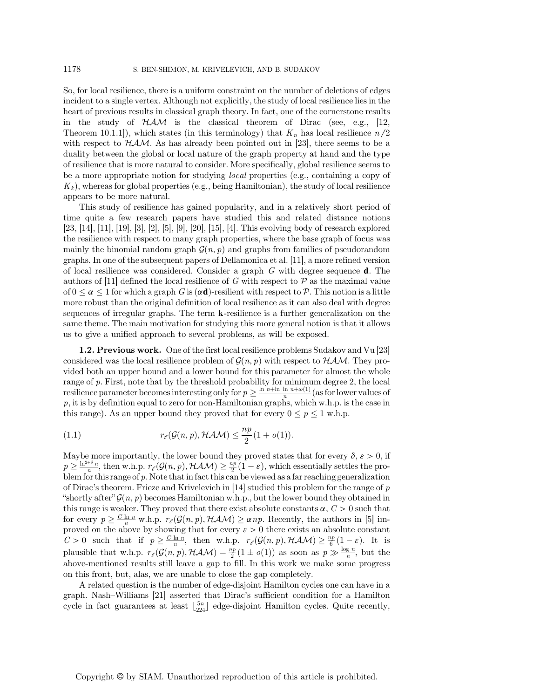So, for local resilience, there is a uniform constraint on the number of deletions of edges incident to a single vertex. Although not explicitly, the study of local resilience lies in the heart of previous results in classical graph theory. In fact, one of the cornerstone results in the study of  $HAM$  is the classical theorem of Dirac (see, e.g., [12, Theorem 10.1.1]), which states (in this terminology) that  $K_n$  has local resilience  $n/2$ with respect to  $HAM$ . As has already been pointed out in [23], there seems to be a duality between the global or local nature of the graph property at hand and the type of resilience that is more natural to consider. More specifically, global resilience seems to be a more appropriate notion for studying *local* properties (e.g., containing a copy of  $K_k$ , whereas for global properties (e.g., being Hamiltonian), the study of local resilience appears to be more natural.

This study of resilience has gained popularity, and in a relatively short period of time quite a few research papers have studied this and related distance notions [23, [14], [11], [19], [3], [2], [5], [9], [20], [15], [4]. This evolving body of research explored the resilience with respect to many graph properties, where the base graph of focus was mainly the binomial random graph  $\mathcal{G}(n, p)$  and graphs from families of pseudorandom graphs. In one of the subsequent papers of Dellamonica et al. [11], a more refined version of local resilience was considered. Consider a graph  $G$  with degree sequence **d**. The authors of [11] defined the local resilience of G with respect to  $\mathcal P$  as the maximal value of  $0 \le \alpha \le 1$  for which a graph G is  $(\alpha \mathbf{d})$ -resilient with respect to P. This notion is a little more robust than the original definition of local resilience as it can also deal with degree sequences of irregular graphs. The term k-resilience is a further generalization on the same theme. The main motivation for studying this more general notion is that it allows us to give a unified approach to several problems, as will be exposed.

1.2. Previous work. One of the first local resilience problems Sudakov and Vu [23] considered was the local resilience problem of  $\mathcal{G}(n, p)$  with respect to  $HAM$ . They provided both an upper bound and a lower bound for this parameter for almost the whole range of p. First, note that by the threshold probability for minimum degree 2, the local resilience parameter becomes interesting only for  $p \ge \frac{\ln n + \ln \ln n + \omega(1)}{n}$  (as for lower values of  $p$ , it is by definition equal to zero for non-Hamiltonian graphs, which w.h.p. is the case in this range). As an upper bound they proved that for every  $0 \le p \le 1$  w.h.p.

(1.1) 
$$
r_{\ell}(\mathcal{G}(n, p), \mathcal{HAM}) \leq \frac{np}{2}(1 + o(1)).
$$

Maybe more importantly, the lower bound they proved states that for every  $\delta, \varepsilon > 0$ , if  $p \geq \frac{\ln^{2+\delta} n}{n}$ , then w.h.p.  $r_{\ell}(\mathcal{G}(n, p), \mathcal{HAM}) \geq \frac{np}{2}(1-\varepsilon)$ , which essentially settles the pro-<br>blem for this range of p. Note that in fact this can be viewed as a far reaching generalization of Dirac's theorem. Frieze and Krivelevich in [14] studied this problem for the range of p "shortly after"  $\mathcal{G}(n, p)$  becomes Hamiltonian w.h.p., but the lower bound they obtained in this range is weaker. They proved that there exist absolute constants  $\alpha, C > 0$  such that for every  $p \geq \frac{C \ln n}{n}$  w.h.p.  $r_{\ell}(\mathcal{G}(n, p), \mathcal{HAM}) \geq \alpha np$ . Recently, the authors in [5] im-<br>proved on the above by showing that for every  $\epsilon > 0$  there exists an absolute constant proved on the above by showing that for every  $\varepsilon > 0$  there exists an absolute constant  $C > 0$  such that if  $p \geq \frac{C \ln n}{n}$ , then w.h.p.  $r_{\ell}(\mathcal{G}(n, p), \mathcal{HAM}) \geq \frac{np}{6} (1 - \varepsilon)$ . It is plausible that w.h.p.  $r_{\ell}(\mathcal{G}(n, p), \mathcal{HAM}) = \frac{np}{2}(1 \pm o(1))$  as soon as  $p \gg \frac{\log n}{n}$ , but the above-mentioned results still leave a gap to fill. In this work we make some progress on this front, but, alas, we are unable to close the gap completely.

A related question is the number of edge-disjoint Hamilton cycles one can have in a graph. Nash–Williams [21] asserted that Dirac's sufficient condition for a Hamilton cycle in fact guarantees at least  $\left[\frac{5n}{224}\right]$  edge-disjoint Hamilton cycles. Quite recently,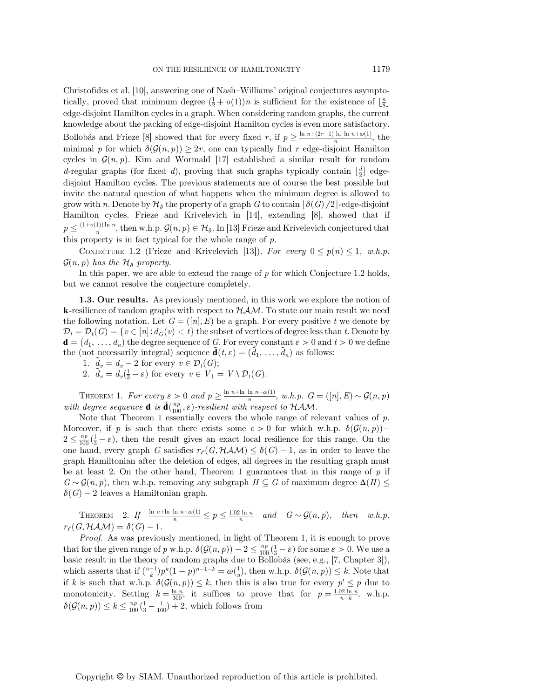Christofides et al. [10], answering one of Nash–Williams' original conjectures asymptotically, proved that minimum degree  $(\frac{1}{2} + o(1))n$  is sufficient for the existence of  $\lfloor \frac{n}{2} \rfloor$ edge-disjoint Hamilton cycles in a graph. When considering random graphs, the current edge-disjoint Hamilton cycles in a graph. When considering random graphs, the current knowledge about the packing of edge-disjoint Hamilton cycles is even more satisfactory. Bollobás and Frieze [8] showed that for every fixed r, if  $p \geq \frac{\ln n + (2r-1)\ln \ln n + \omega(1)}{n}$ , the minimal p for which  $\delta(\mathcal{G}(n, p)) \geq 2r$ , one can typically find r edge-disjoint Hamilton cycles in  $\mathcal{G}(n, p)$ . Kim and Wormald [17] established a similar result for random d-regular graphs (for fixed d), proving that such graphs typically contain  $\lfloor \frac{d}{2} \rfloor$  edge-<br>disjoint Hamilton graphs. The province statements are of source the best possible but disjoint Hamilton cycles. The previous statements are of course the best possible but invite the natural question of what happens when the minimum degree is allowed to grow with n. Denote by  $\mathcal{H}_{\delta}$  the property of a graph G to contain  $\delta(G)/2$ -edge-disjoint Hamilton cycles. Frieze and Krivelevich in [14], extending [8], showed that if  $p \leq \frac{(1+o(1))\ln n}{n}$ , then w.h.p.  $\mathcal{G}(n, p) \in \mathcal{H}_{\delta}$ . In [13] Frieze and Krivelevich conjectured that this property is in fact typical for the whole range of  $p$ .

CONJECTURE 1.2 (Frieze and Krivelevich [13]). For every  $0 \le p(n) \le 1$ , w.h.p.  $\mathcal{G}(n, p)$  has the  $\mathcal{H}_{\delta}$  property.

In this paper, we are able to extend the range of  $p$  for which Conjecture 1.2 holds, but we cannot resolve the conjecture completely.

1.3. Our results. As previously mentioned, in this work we explore the notion of **k**-resilience of random graphs with respect to  $HAM$ . To state our main result we need the following notation. Let  $G = ([n], E)$  be a graph. For every positive t we denote by  $\mathcal{D}_t = \mathcal{D}_t(G) = \{v \in [n]: d_G(v) < t\}$  the subset of vertices of degree less than t. Denote by  $\mathbf{d} = (d_1, \ldots, d_n)$  the degree sequence of G. For every constant  $\varepsilon > 0$  and  $t > 0$  we define the (not necessarily integral) sequence  $\tilde{\mathbf{d}}(t,\varepsilon) = (\tilde{d}_1, \ldots, \tilde{d}_n)$  as follows:<br> $\tilde{d}(\tilde{d}_1, \tilde{d}_2, \tilde{d}_3, \ldots, \tilde{d}_n)$  as follows:

1.  $\tilde{d}_v = d_v - 2$  for every  $v \in \mathcal{D}_t(G)$ ;<br>2.  $\tilde{d}_v = d_v(\frac{1}{3} - \varepsilon)$  for every  $v \in V_1 = V \setminus \mathcal{D}_t(G)$ .

THEOREM 1. For every  $\varepsilon > 0$  and  $p \ge \frac{\ln n + \ln \ln n + \omega(1)}{n}$ , w.h.p.  $G = ([n], E) \sim \mathcal{G}(n, p)$ with degree sequence **d** is  $\tilde{\mathbf{d}}(\frac{np}{100}, \varepsilon)$ -resilient with respect to HAM.<br>Note that Theorem 1 essentially covers the whole range of re

Note that Theorem 1 essentially covers the whole range of relevant values of  $p$ . Moreover, if p is such that there exists some  $\varepsilon > 0$  for which w.h.p.  $\delta(\mathcal{G}(n, p))$  $2 \le \frac{np}{100}(\frac{1}{3} - \varepsilon)$ , then the result gives an exact local resilience for this range. On the one hand, every graph G satisfies  $r_{\ell}(G, HAM) \leq \delta(G) - 1$ , as in order to leave the graph Hamiltonian after the deletion of edges, all degrees in the resulting graph must be at least 2. On the other hand, Theorem 1 guarantees that in this range of  $p$  if  $G \sim \mathcal{G}(n, p)$ , then w.h.p. removing any subgraph  $H \subseteq G$  of maximum degree  $\Delta(H) \leq$  $\delta(G) - 2$  leaves a Hamiltonian graph.

THEOREM 2. If  $\frac{\ln n + \ln \ln n + \omega(1)}{n} \leq p \leq \frac{1.02 \ln n}{n}$  and  $G \sim \mathcal{G}(n, p)$ , then w.h.p.  $r_e(G, HAM) = \delta(G) - 1$ 

Proof. As was previously mentioned, in light of Theorem 1, it is enough to prove that for the given range of p w.h.p.  $\delta(G(n, p)) - 2 \leq \frac{np}{100}(\frac{1}{3} - \varepsilon)$  for some  $\varepsilon > 0$ . We use a basic result in the theory of random graphs due to Bollobás (see e.g. [7] Chapter 31) basic result in the theory of random graphs due to Bollobás (see, e.g., [7, Chapter 3]), which asserts that if  $\binom{n-1}{k} p^k (1-p)^{n-1-k} = \omega(\frac{1}{n})$ , then w.h.p.  $\delta(\mathcal{G}(n, p)) \leq k$ . Note that if k is such that w.h.p.  $\delta(\mathcal{G}(n, p)) \leq k$ , then this is also true for every  $p' \leq p$  due to monotonicity. Setting  $k = \frac{\ln n}{300}$ , it suffices to prove that for  $p = \frac{1.02 \ln n}{n-k}$ , w.h.p.  $\delta(\mathcal{G}(n, p)) \leq k \leq \frac{np}{100}(\frac{1}{3} - \frac{1}{160}) + 2$ , which follows from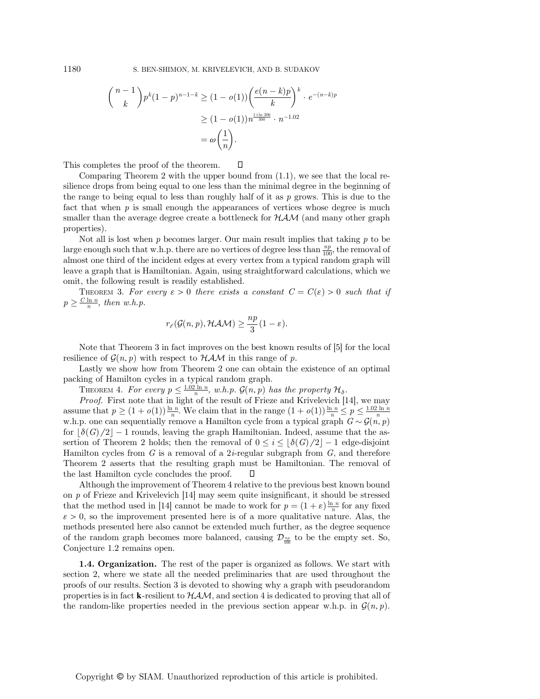$$
{\binom{n-1}{k}} p^k (1-p)^{n-1-k} \ge (1-o(1)) \left( \frac{e(n-k)p}{k} \right)^k \cdot e^{-(n-k)p}
$$
  
 
$$
\ge (1-o(1)) n^{\frac{1+\ln 306}{300}} \cdot n^{-1.02}
$$
  
=  $\omega \left( \frac{1}{n} \right).$ 

This completes the proof of the theorem.  $\Box$ 

Comparing Theorem 2 with the upper bound from (1.1), we see that the local resilience drops from being equal to one less than the minimal degree in the beginning of the range to being equal to less than roughly half of it as  $p$  grows. This is due to the fact that when  $p$  is small enough the appearances of vertices whose degree is much smaller than the average degree create a bottleneck for  $HAM$  (and many other graph properties).

Not all is lost when  $p$  becomes larger. Our main result implies that taking  $p$  to be large enough such that w.h.p. there are no vertices of degree less than  $\frac{np}{100}$ , the removal of almost one third of the incident edges at every vertex from a typical random graph will leave a graph that is Hamiltonian. Again, using straightforward calculations, which we omit, the following result is readily established.

THEOREM 3. For every  $\varepsilon > 0$  there exists a constant  $C = C(\varepsilon) > 0$  such that if  $p \geq \frac{C \ln n}{n}$ , then w.h.p.

$$
r_{\ell}({\mathcal G}(n,p), {\mathcal H} {\mathcal A} {\mathcal M}) \geq \frac{np}{3}(1-\varepsilon).
$$

Note that Theorem 3 in fact improves on the best known results of [5] for the local resilience of  $\mathcal{G}(n, p)$  with respect to  $HAM$  in this range of p.

Lastly we show how from Theorem 2 one can obtain the existence of an optimal packing of Hamilton cycles in a typical random graph.

THEOREM 4. For every  $p \leq \frac{1.02 \ln n}{n}$ , w.h.p.  $\mathcal{G}(n, p)$  has the property  $\mathcal{H}_{\delta}$ .<br>Proof. First note that in light of the result of Frieze and Krivelevich [14], we may assume that  $p \geq (1 + o(1)) \frac{\ln n}{n}$ . We claim that in the range  $(1 + o(1)) \frac{\ln n}{n} \leq p \leq \frac{1.02 \ln n}{n}$ <br>w.h.p. one can sequentially remove a Hamilton cycle from a typical graph  $G \sim \mathcal{G}(n, p)$ <br>for  $\mathcal{A}(G)/2! = 1$  rounds leavi for  $\delta(G)/2$  − 1 rounds, leaving the graph Hamiltonian. Indeed, assume that the assertion of Theorem 2 holds; then the removal of  $0 \leq i \leq \lceil \delta(G)/2 \rceil - 1$  edge-disjoint Hamilton cycles from G is a removal of a  $2i$ -regular subgraph from G, and therefore Theorem 2 asserts that the resulting graph must be Hamiltonian. The removal of the last Hamilton cycle concludes the proof.  $\Box$ 

Although the improvement of Theorem 4 relative to the previous best known bound on p of Frieze and Krivelevich [14] may seem quite insignificant, it should be stressed that the method used in [14] cannot be made to work for  $p = (1 + \varepsilon) \frac{\ln n}{n}$  for any fixed<br> $\varepsilon > 0$ , so the improvement presented here is of a more qualitative nature. Also, the  $\varepsilon > 0$ , so the improvement presented here is of a more qualitative nature. Alas, the methods presented here also cannot be extended much further, as the degree sequence of the random graph becomes more balanced, causing  $\mathcal{D}_{\frac{np}{100}}$  to be the empty set. So, Conjecture 1.2 remains open.

1.4. Organization. The rest of the paper is organized as follows. We start with section 2, where we state all the needed preliminaries that are used throughout the proofs of our results. Section 3 is devoted to showing why a graph with pseudorandom properties is in fact **k**-resilient to  $HAM$ , and section 4 is dedicated to proving that all of the random-like properties needed in the previous section appear w.h.p. in  $\mathcal{G}(n, p)$ .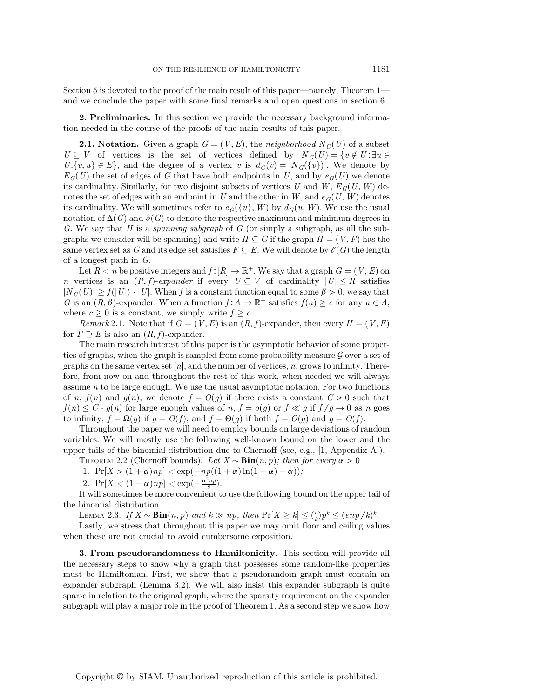Section 5 is devoted to the proof of the main result of this paper—namely, Theorem 1 and we conclude the paper with some final remarks and open questions in section 6

2. Preliminaries. In this section we provide the necessary background information needed in the course of the proofs of the main results of this paper.

**2.1. Notation.** Given a graph  $G = (V, E)$ , the neighborhood  $N_G(U)$  of a subset  $U \subseteq V$  of vertices is the set of vertices defined by  $N_G(U) = \{v \notin U : \exists u \in V\}$  $U.\{v, u\} \in E\}$ , and the degree of a vertex v is  $d_G(v) = |N_G(\{v\})|$ . We denote by  $E_G(U)$  the set of edges of G that have both endpoints in U, and by  $e_G(U)$  we denote its cardinality. Similarly, for two disjoint subsets of vertices U and W,  $E_G(U, W)$  denotes the set of edges with an endpoint in U and the other in W, and  $e_G(U, W)$  denotes its cardinality. We will sometimes refer to  $e_G({u}, W)$  by  $d_G(u, W)$ . We use the usual notation of  $\Delta(G)$  and  $\delta(G)$  to denote the respective maximum and minimum degrees in G. We say that H is a spanning subgraph of G (or simply a subgraph, as all the subgraphs we consider will be spanning) and write  $H \subseteq G$  if the graph  $H = (V, F)$  has the same vertex set as G and its edge set satisfies  $F \subseteq E$ . We will denote by  $\mathcal{E}(G)$  the length of a longest path in G.

Let  $R < n$  be positive integers and  $f : [R] \to \mathbb{R}^+$ . We say that a graph  $G = (V, E)$  on n vertices is an  $(R, f)$ -expander if every  $U \subseteq V$  of cardinality  $|U| \leq R$  satisfies  $|N_G(U)| \ge f(|U|) \cdot |U|$ . When f is a constant function equal to some  $\beta > 0$ , we say that G is an  $(R, \beta)$ -expander. When a function  $f: A \to \mathbb{R}^+$  satisfies  $f(a) \geq c$  for any  $a \in A$ , where  $c \geq 0$  is a constant, we simply write  $f \geq c$ .

*Remark* 2.1. Note that if  $G = (V, E)$  is an  $(R, f)$ -expander, then every  $H = (V, F)$ for  $F \supseteq E$  is also an  $(R, f)$ -expander.

The main research interest of this paper is the asymptotic behavior of some properties of graphs, when the graph is sampled from some probability measure  $\mathcal G$  over a set of graphs on the same vertex set  $[n]$ , and the number of vertices,  $n$ , grows to infinity. Therefore, from now on and throughout the rest of this work, when needed we will always assume n to be large enough. We use the usual asymptotic notation. For two functions of n,  $f(n)$  and  $g(n)$ , we denote  $f = O(g)$  if there exists a constant  $C > 0$  such that  $f(n) \leq C \cdot g(n)$  for large enough values of n,  $f = o(g)$  or  $f \ll g$  if  $f/g \to 0$  as n goes to infinity,  $f = \Omega(q)$  if  $q = O(f)$ , and  $f = \Theta(q)$  if both  $f = O(q)$  and  $q = O(f)$ .

Throughout the paper we will need to employ bounds on large deviations of random variables. We will mostly use the following well-known bound on the lower and the upper tails of the binomial distribution due to Chernoff (see, e.g., [1, Appendix A]).

THEOREM 2.2 (Chernoff bounds). Let  $X \sim Bin(n, p)$ ; then for every  $\alpha > 0$ 

1.  $Pr[X > (1+\alpha)np] < exp(-np((1+\alpha)ln(1+\alpha)-\alpha));$ 

2. 
$$
\Pr[X < (1 - \alpha)np] < \exp\left(-\frac{\alpha^2 np}{2}\right)
$$
.

2.  $Pr[X < (1 - \alpha)np] < exp(-\frac{\alpha^2np}{2})$ .<br>It will sometimes be more convenient to use the following bound on the upper tail of the binomial distribution.

LEMMA 2.3. If  $X \sim \text{Bin}(n, p)$  and  $k \gg np$ , then  $Pr[X \ge k] \le {n \choose k} p^k \le (enp/k)^k$ .<br>Lastly, we stress that throughout this paper we may omit floor and ceiling value

Lastly, we stress that throughout this paper we may omit floor and ceiling values when these are not crucial to avoid cumbersome exposition.

3. From pseudorandomness to Hamiltonicity. This section will provide all the necessary steps to show why a graph that possesses some random-like properties must be Hamiltonian. First, we show that a pseudorandom graph must contain an expander subgraph (Lemma 3.2). We will also insist this expander subgraph is quite sparse in relation to the original graph, where the sparsity requirement on the expander subgraph will play a major role in the proof of Theorem 1. As a second step we show how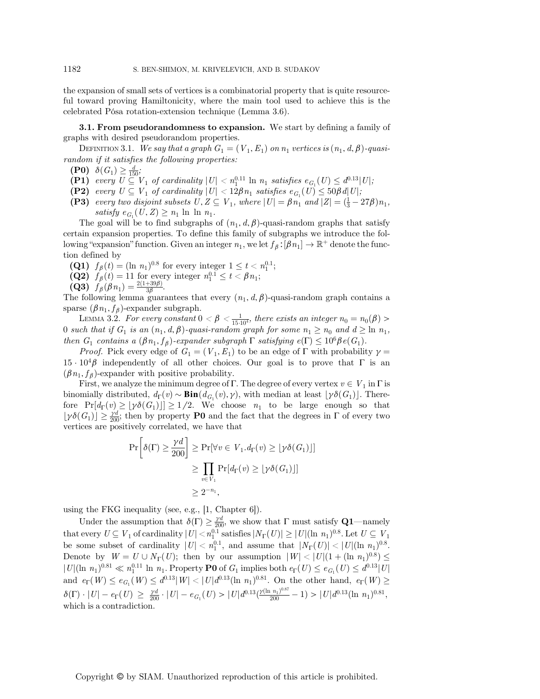the expansion of small sets of vertices is a combinatorial property that is quite resourceful toward proving Hamiltonicity, where the main tool used to achieve this is the celebrated Pósa rotation-extension technique (Lemma 3.6).

**3.1. From pseudorandomness to expansion.** We start by defining a family of graphs with desired pseudorandom properties.

DEFINITION 3.1. We say that a graph  $G_1 = (V_1, E_1)$  on  $n_1$  vertices is  $(n_1, d, \beta)$ -quasirandom if it satisfies the following properties:

(P0)  $\delta(G_1) \geq \frac{d}{150}$ ;<br>(P1) every  $H \subset \mathbb{R}$ 

- (P1) every  $U \subseteq V_1$  of cardinality  $|U| < n_1^{0.11} \ln n_1$  satisfies  $e_{G_1}(U) \leq d^{0.13} |U|$ ;<br>(P2) every  $U \subseteq V_1$  of cardinality  $|U| < 128n_1$  satisfies  $e_{G_1}(U) \leq 508 d(U)$ ;
- (P2) every  $U \subseteq V_1$  of cardinality  $|U| < 12\beta n_1$  satisfies  $e_{G_1}(U) \leq 50\beta d|U|$ ;
- (P3) every two disjoint subsets  $U, Z \subseteq V_1$ , where  $|U| = \beta n_1$  and  $|Z| = (\frac{1}{3} 27\beta)n_1$ , satisfy  $e_{\alpha}(U, Z) > n_1 \ln \ln n_1$ . satisfy  $e_{G_1}(U,Z) \geq n_1 \ln \ln n_1$ .

The goal will be to find subgraphs of  $(n_1, d, \beta)$ -quasi-random graphs that satisfy certain expansion properties. To define this family of subgraphs we introduce the following "expansion" function. Given an integer  $n_1$ , we let  $f_\beta: [\beta n_1] \to \mathbb{R}^+$  denote the function defined by

- (Q1)  $f_\beta(t) = (\ln n_1)^{0.8}$  for every integer  $1 \le t < n_1^{0.1}$ ;<br>(Q2)  $f_\beta(t) = 11$  for every integer  $n_{0.1}^{0.1} < t < \beta n_1$ .
- **(Q2)**  $f_{\beta}(t) = 11$  for every integer  $n_1^{0.1} \le t < \beta n_1$ ;<br>**(O3)**  $f_{\beta}(\beta n_1) = \frac{2(1+39\beta)}{2}$
- $(\mathbf{Q3}) \ \ \widetilde{f}_{\beta}(\beta n_1) = \frac{2(1+39\beta)}{3\beta}.$

The following lemma guarantees that every  $(n_1, d, \beta)$ -quasi-random graph contains a sparse  $(\beta n_1, f_\beta)$ -expander subgraph.

LEMMA 3.2. For every constant  $0 < \beta < \frac{1}{15 \cdot 10^4}$ , there exists an integer  $n_0 = n_0(\beta) >$ 0 such that if  $G_1$  is an  $(n_1, d, \beta)$ -quasi-random graph for some  $n_1 \geq n_0$  and  $d \geq \ln n_1$ , then  $G_1$  contains a  $(\beta n_1, f_\beta)$ -expander subgraph  $\Gamma$  satisfying  $e(\Gamma) \leq 10^6 \beta e(G_1)$ .

*Proof.* Pick every edge of  $G_1 = (V_1, E_1)$  to be an edge of  $\Gamma$  with probability  $\gamma =$  $15 \cdot 10^4 \beta$  independently of all other choices. Our goal is to prove that  $\Gamma$  is an  $(\beta n_1, f_\beta)$ -expander with positive probability.

First, we analyze the minimum degree of Γ. The degree of every vertex  $v \in V_1$  in Γ is binomially distributed,  $d_{\Gamma}(v) \sim \text{Bin}(d_{G_1}(v), \gamma)$ , with median at least  $|\gamma \delta(G_1)|$ . Therefore  $Pr[d_{\Gamma}(v) \geq \lfloor \gamma \delta(G_1) \rfloor] \geq 1/2$ . We choose  $n_1$  to be large enough so that  $\lfloor \gamma \delta(G_1) \rfloor \geq \frac{\gamma d}{200}$ ; then by property **P0** and the fact that the degrees in  $\Gamma$  of every two vertices are positively correlated, we have that vertices are positively correlated, we have that

$$
\Pr\left[\delta(\Gamma) \ge \frac{\gamma d}{200}\right] \ge \Pr[\forall v \in V_1. d_{\Gamma}(v) \ge \lfloor \gamma \delta(G_1) \rfloor]
$$

$$
\ge \prod_{v \in V_1} \Pr[d_{\Gamma}(v) \ge \lfloor \gamma \delta(G_1) \rfloor]
$$

$$
\ge 2^{-n_1},
$$

using the FKG inequality (see, e.g., [1, Chapter 6]).

Under the assumption that  $\delta(\Gamma) \geq \frac{\gamma d}{200}$ , we show that  $\Gamma$  must satisfy **Q1**—namely<br>normalized  $U \leq V$ , of sending little  $U$ ,  $\delta(0)$  at is fixed  $N$ ,  $(U) \geq |U|(v, v)|^{0.8}$ . Let  $U \subseteq V$ that every  $U \subseteq V_1$  of cardinality  $|U| < n_1^{0.1}$  satisfies  $|N_{\Gamma}(U)| \geq |U| (\ln n_1)^{0.8}$ . Let  $U \subseteq V_1$ <br>the some subset of earling ity  $|U| < n_1^{0.1}$  and essume that  $|N_{\Gamma}(U)| \geq |U| (\ln n_1)^{0.8}$ . be some subset of cardinality  $|U| < n_1^{0.1}$ , and assume that  $|N_{\Gamma}(U)| < |U| (\ln n_1)^{0.8}$ .<br>Denote by  $W = U + N_{\Gamma}(U)$ , then by our assumption  $|W| < |U| (1 + (ln n_1)^{0.8})$ . Denote by  $W = U \cup N_{\Gamma}(U)$ ; then by our assumption  $|W| < |U|(1 + (\ln n_1)^{0.8}) \le$  $|U|(\ln n_1)^{0.81} \ll n_1^{0.11} \ln n_1$ . Property **P0** of  $G_1$  implies both  $e_{\Gamma}(U) \leq e_{G_1}(U) \leq d^{0.13}|U|$ and  $e_{\Gamma}(W) \leq e_{G_1}(W) \leq d^{0.13}|W| < |U|d^{0.13}(\ln n_1)^{0.81}$ . On the other hand,  $e_{\Gamma}(W) \geq$  $\delta(\Gamma) \cdot |U| - e_{\Gamma}(U) \ge \frac{\gamma d}{200} \cdot |U| - e_{G_1}(U) > |U| d^{0.13} (\frac{\gamma(\ln n_1)^{0.87}}{200} - 1) > |U| d^{0.13}(\ln n_1)^{0.81}$ which is a contradiction.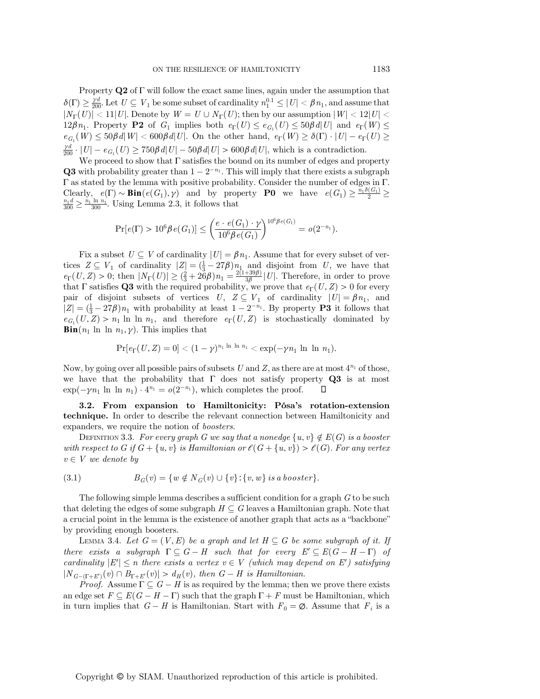Property  $Q2$  of  $\Gamma$  will follow the exact same lines, again under the assumption that  $\delta(\Gamma) \geq \frac{\gamma d}{200}$ . Let  $U \subseteq V_1$  be some subset of cardinality  $n_1^{0.1} \leq |U| < \beta n_1$ , and assume that  $|N_{\Gamma}(U)| < 11|U|$ . Denote by  $W = U \cup N_{\Gamma}(U)$ ; then by our assumption  $|W| < 12|U|$ 12βn<sub>1</sub>. Property **P2** of  $G_1$  implies both  $e_{\Gamma}(U) \leq e_{G_1}(U) \leq 50\beta d|U|$  and  $e_{\Gamma}(W) \leq$  $e_{G_1}(W) \leq 50\beta d|W| < 600\beta d|U|$ . On the other hand,  $e_{\Gamma}(W) \geq \delta(\Gamma) \cdot |U| - e_{\Gamma}(U) \geq$  $\frac{\gamma d}{200} \cdot |U| - e_{G_1}(U) \ge 750\beta d |U| - 50\beta d |U| > 600\beta d |U|$ , which is a contradiction.

We proceed to show that  $\Gamma$  satisfies the bound on its number of edges and property Q3 with probability greater than  $1 - 2^{-n_1}$ . This will imply that there exists a subgraph Γ as stated by the lemma with positive probability. Consider the number of edges in Γ. Clearly,  $e(\Gamma) \sim \text{Bin}(e(G_1), \gamma)$  and by property **P0** we have  $e(G_1) \ge \frac{\bar{n}_1 \delta(G_1)}{2} \ge \frac{n_1 \ln n_1}{2}$  Using Lemma 2.3 it follows that  $\frac{n_1 d}{300} \ge \frac{n_1 \ln n_1}{300}$ . Using Lemma 2.3, it follows that

$$
\Pr[e(\Gamma) > 10^6 \beta e(G_1)] \le \left(\frac{e \cdot e(G_1) \cdot \gamma}{10^6 \beta e(G_1)}\right)^{10^6 \beta e(G_1)} = o(2^{-n_1}).
$$

Fix a subset  $U \subseteq V$  of cardinality  $|U| = \beta n_1$ . Assume that for every subset of ver-<br> $Z \subseteq V$ , of cardinality  $|Z| = (1 - 278)n_1$  and disjoint from  $U$  we have that tices  $Z \subseteq V_1$  of cardinality  $|Z| = (\frac{1}{3} - 27\beta)n_1$  and disjoint from U, we have that  $e^{-(\frac{1}{2}X)} > 0$ ; then  $|N_{-1}(U)| > (\frac{2}{3} + 26\beta)n_1 - \frac{2(1+39\beta)}{1!}$  [U]. Therefore in order to prove  $e_{\Gamma}(U, Z) > 0$ ; then  $|N_{\Gamma}(U)| \geq (\frac{2}{3} + 26\beta) n_1 = \frac{2(1+39\beta)}{3\beta} |U|$ . Therefore, in order to prove<br>that E satisfies **Q3** with the required probability we prove that  $e_{\Gamma}(U, Z) > 0$  for every that Γ satisfies Q3 with the required probability, we prove that  $e_{\Gamma}(U, Z) > 0$  for every<br>pair of disjoint subsets of vertices  $U \nvert Z \subset V$  of cardinality  $|U| = 8n$ , and pair of disjoint subsets of vertices  $U, Z \subseteq V_1$  of cardinality  $|U| = \beta n_1$ , and  $|Z| = (\frac{1}{3} - 27\beta)n_1$  with probability at least  $1 - 2^{-n_1}$ . By property **P3** it follows that  $e_{G_1}(U, Z) > n_1 \ln \ln n_1$ , and therefore  $e_{\Gamma}(U, Z)$  is stochastically dominated by **Bin** $(n_1 \ln n_1, \gamma)$ . This implies that

$$
\Pr[e_{\Gamma}(U,Z)=0]<(1-\gamma)^{n_1\ln\ln n_1}<\exp(-\gamma n_1\ln\ln n_1).
$$

Now, by going over all possible pairs of subsets U and Z, as there are at most  $4^{n_1}$  of those, we have that the probability that  $\Gamma$  does not satisfy property **Q3** is at most  $\exp(-\gamma n_1 \ln \ln n_1) \cdot 4^{n_1} = o(2^{-n_1}),$  which completes the proof.  $\Box$ 

3.2. From expansion to Hamiltonicity: Pósa*'*s rotation-extension technique. In order to describe the relevant connection between Hamiltonicity and expanders, we require the notion of boosters.

DEFINITION 3.3. For every graph G we say that a nonedge  $\{u, v\} \notin E(G)$  is a booster with respect to G if  $G + \{u, v\}$  is Hamiltonian or  $\ell(G + \{u, v\}) > \ell(G)$ . For any vertex  $v \in V$  we denote by

(3.1) 
$$
B_G(v) = \{ w \notin N_G(v) \cup \{v\} : \{v, w\} \text{ is a booster} \}.
$$

The following simple lemma describes a sufficient condition for a graph G to be such that deleting the edges of some subgraph  $H \subseteq G$  leaves a Hamiltonian graph. Note that a crucial point in the lemma is the existence of another graph that acts as a "backbone" by providing enough boosters.

LEMMA 3.4. Let  $G = (V, E)$  be a graph and let  $H \subseteq G$  be some subgraph of it. If there exists a subgraph  $\Gamma \subseteq G - H$  such that for every  $E' \subseteq E(G - H - \Gamma)$  of cardinality  $|E'| \le n$  there exists a vertex  $v \in V$  (which may depend on E') satisfying  $|N_{G-(\Gamma+E')}(v)| \cap B_{\Gamma+E'}(v)| > d_H(v)$ , then  $G-H$  is Hamiltonian.<br>Proof  $\Delta$  ssume  $\Gamma \subset G-H$  is as required by the lemma; then

*Proof.* Assume  $\Gamma \subseteq G - H$  is as required by the lemma; then we prove there exists an edge set  $F \subseteq E(G - H - \Gamma)$  such that the graph  $\Gamma + F$  must be Hamiltonian, which in turn implies that  $G - H$  is Hamiltonian. Start with  $F_0 = \emptyset$ . Assume that  $F_i$  is a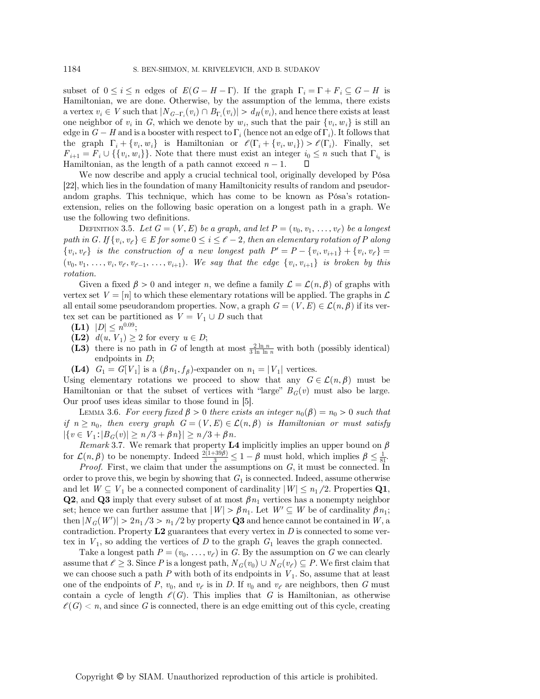subset of  $0 \le i \le n$  edges of  $E(G - H - \Gamma)$ . If the graph  $\Gamma_i = \Gamma + F_i \subseteq G - H$  is Hamiltonian, we are done. Otherwise, by the assumption of the lemma, there exists a vertex  $v_i \in V$  such that  $|N_{G-F_i}(v_i) \cap B_{\Gamma_i}(v_i)| > d_H(v_i)$ , and hence there exists at least one neighbor of  $v_i$  in  $G$  which we denote by  $w_i$ , such that the pair  $\{v_i, w_j\}$  is still an one neighbor of  $v_i$  in G, which we denote by  $w_i$ , such that the pair  $\{v_i, w_i\}$  is still an edge in  $G - H$  and is a booster with respect to  $\Gamma_i$  (hence not an edge of  $\Gamma_i$ ). It follows that the graph  $\Gamma_i + \{v_i, w_i\}$  is Hamiltonian or  $\mathcal{E}(\Gamma_i + \{v_i, w_i\}) > \mathcal{E}(\Gamma_i)$ . Finally, set  $F_{i+1} = F_i \cup \{\{v_i, w_i\}\}\.$  Note that there must exist an integer  $i_0 \leq n$  such that  $\Gamma_{i_0}$  is Hamiltonian as the length of a path cannot exceed  $n-1$   $\Box$ Hamiltonian, as the length of a path cannot exceed  $n-1$ .

We now describe and apply a crucial technical tool, originally developed by Pósa [22], which lies in the foundation of many Hamiltonicity results of random and pseudorandom graphs. This technique, which has come to be known as Pósa's rotationextension, relies on the following basic operation on a longest path in a graph. We use the following two definitions.

DEFINITION 3.5. Let  $G = (V, E)$  be a graph, and let  $P = (v_0, v_1, \ldots, v_\ell)$  be a longest path in G. If  $\{v_i, v_{\ell}\} \in E$  for some  $0 \leq i \leq \ell - 2$ , then an elementary rotation of P along  $\{v_i, v_{\ell}\}\$  is the construction of a new longest path  $P' = P - \{v_i, v_{i+1}\} + \{v_i, v_{\ell}\} =$  $(v_0, v_1, \ldots, v_i, v_{\ell}, v_{\ell-1}, \ldots, v_{i+1})$ . We say that the edge  $\{v_i, v_{i+1}\}$  is broken by this rotation.

Given a fixed  $\beta > 0$  and integer n, we define a family  $\mathcal{L} = \mathcal{L}(n, \beta)$  of graphs with vertex set  $V = [n]$  to which these elementary rotations will be applied. The graphs in  $\mathcal{L}$ all entail some pseudorandom properties. Now, a graph  $G = (V, E) \in \mathcal{L}(n, \beta)$  if its vertex set can be partitioned as  $V = V_1 \cup D$  such that

- (L1)  $|D| \leq n^{0.09}$ ;
- (L2)  $d(u, V_1) \geq 2$  for every  $u \in D$ ;
- (L3) there is no path in G of length at most  $\frac{2 \ln n}{3 \ln \ln n}$  with both (possibly identical) endpoints in  $D$ ;
- (L4)  $G_1 = G[V_1]$  is a  $(\beta n_1, f_\beta)$ -expander on  $n_1 = |V_1|$  vertices.

Using elementary rotations we proceed to show that any  $G \in \mathcal{L}(n, \beta)$  must be Hamiltonian or that the subset of vertices with "large"  $B_G(v)$  must also be large. Our proof uses ideas similar to those found in [5].

LEMMA 3.6. For every fixed  $\beta > 0$  there exists an integer  $n_0(\beta) = n_0 > 0$  such that if  $n \geq n_0$ , then every graph  $G = (V, E) \in \mathcal{L}(n, \beta)$  is Hamiltonian or must satisfy  $|\{v \in V_1 : |B_G(v)| \ge n/3 + \beta n\}| \ge n/3 + \beta n.$ 

Remark 3.7. We remark that property L4 implicitly implies an upper bound on  $\beta$ for  $\mathcal{L}(n, \beta)$  to be nonempty. Indeed  $\frac{2(1+39\beta)}{3} \leq 1-\beta$  must hold, which implies  $\beta \leq \frac{1}{81}$ .

*Proof.* First, we claim that under the assumptions on  $G$ , it must be connected. In order to prove this, we begin by showing that  $G_1$  is connected. Indeed, assume otherwise and let  $W \subseteq V_1$  be a connected component of cardinality  $|W| \leq n_1/2$ . Properties Q1, **Q2**, and **Q3** imply that every subset of at most  $\beta n_1$  vertices has a nonempty neighbor set; hence we can further assume that  $|W| > \beta n_1$ . Let  $W' \subseteq W$  be of cardinality  $\beta n_1$ ; then  $|N_G(W')| > 2n_1/3 > n_1/2$  by property **Q3** and hence cannot be contained in W, a contradiction. Property **L2** guarantees that every vertex in D is connected to some vercontradiction. Property  $L2$  guarantees that every vertex in  $D$  is connected to some vertex in  $V_1$ , so adding the vertices of D to the graph  $G_1$  leaves the graph connected.

Take a longest path  $P = (v_0, \ldots, v_\ell)$  in G. By the assumption on G we can clearly assume that  $\ell \geq 3$ . Since P is a longest path,  $N_G(v_0) \cup N_G(v_\ell) \subseteq P$ . We first claim that we can choose such a path P with both of its endpoints in  $V_1$ . So, assume that at least one of the endpoints of P,  $v_0$ , and  $v_\ell$  is in D. If  $v_0$  and  $v_\ell$  are neighbors, then G must contain a cycle of length  $\mathcal{C}(G)$ . This implies that G is Hamiltonian, as otherwise  $\mathcal{E}(G) < n$ , and since G is connected, there is an edge emitting out of this cycle, creating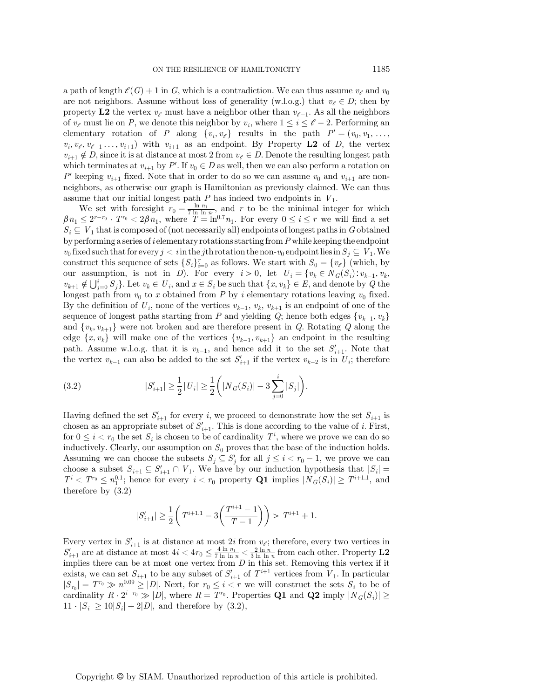a path of length  $\mathcal{C}(G) + 1$  in G, which is a contradiction. We can thus assume  $v_{\ell}$  and  $v_0$ are not neighbors. Assume without loss of generality (w.l.o.g.) that  $v_{\ell} \in D$ ; then by property L2 the vertex  $v_{\ell}$  must have a neighbor other than  $v_{\ell-1}$ . As all the neighbors of  $v_{\ell}$  must lie on P, we denote this neighbor by  $v_i$ , where  $1 \leq i \leq \ell - 2$ . Performing an elementary rotation of P along  $\{v_i, v_{\ell}\}\$  results in the path  $P'=(v_0, v_1, \ldots, v_{\ell})$  $v_i, v_{\ell}, v_{\ell-1}, \ldots, v_{i+1}$  with  $v_{i+1}$  as an endpoint. By Property L2 of D, the vertex  $v_{i+1} \notin D$ , since it is at distance at most 2 from  $v_{\ell} \in D$ . Denote the resulting longest path which terminates at  $v_{i+1}$  by P'. If  $v_0 \in D$  as well, then we can also perform a rotation on<br> $P'$  keeping  $v_i$  fixed. Note that in events do so we can assume  $v_i$  and  $v_j$  are non-P' keeping  $v_{i+1}$  fixed. Note that in order to do so we can assume  $v_0$  and  $v_{i+1}$  are nonneighbors, as otherwise our graph is Hamiltonian as previously claimed. We can thus assume that our initial longest path  $P$  has indeed two endpoints in  $V_1$ .

We set with foresight  $r_0 = \frac{\ln n_1}{7 \ln \ln n_1}$ , and r to be the minimal integer for which<br>  $\langle 2^{r-r_0} \cdot T^n_0 \rangle \langle 28n \rangle$  where  $T = \ln^{0.7} n_0$ . For every  $0 \le i \le r$  we will find a set  $\beta n_1 \leq 2^{r-r_0} \cdot T^{r_0} < 2\beta n_1$ , where  $T = \ln^{0.7} n_1$ . For every  $0 \leq i \leq r$  we will find a set  $S \subset V$  that is composed of (not percosaggive all) ordinate of longest paths in Cohtained  $S_i \subseteq V_1$  that is composed of (not necessarily all) endpoints of longest paths in G obtained by performing a series of *i* elementary rotations starting from  $P$  while keeping the endpoint  $v_0$  fixed such that for every  $j < i$  in the jth rotation the non- $v_0$  endpoint lies in  $S_j \subseteq V_1$ . We construct this sequence of sets  $\{S_i\}_{i=0}^r$  as follows. We start with  $S_0 = \{v_\ell\}$  (which, by our assumption, is not in D). For every  $i > 0$ , let  $U_i = \{v_k \in N_G(S_i): v_{k-1}, v_k,$  $v_{k+1} \notin \bigcup_{j=0}^{i} S_j$ . Let  $v_k \in U_i$ , and  $x \in S_i$  be such that  $\{x, v_k\} \in E$ , and denote by Q the longest path from  $v_0$  to x obtained from P by i elementary rotations leaving  $v_0$  fixed. By the definition of  $U_i$ , none of the vertices  $v_{k-1}, v_k, v_{k+1}$  is an endpoint of one of the sequence of longest paths starting from P and yielding Q; hence both edges  $\{v_{k-1}, v_k\}$ and  $\{v_k, v_{k+1}\}\$  were not broken and are therefore present in Q. Rotating Q along the edge  $\{x, v_k\}$  will make one of the vertices  $\{v_{k-1}, v_{k+1}\}\$  an endpoint in the resulting path. Assume w.l.o.g. that it is  $v_{k-1}$ , and hence add it to the set  $S'_{i+1}$ . Note that the vertex  $v_{i}$  can also be added to the set  $S'_{i}$  if the vertex  $v_{i}$  is in  $U_i$ ; therefore the vertex  $v_{k-1}$  can also be added to the set  $S'_{i+1}$  if the vertex  $v_{k-2}$  is in  $U_i$ ; therefore

(3.2) 
$$
|S'_{i+1}| \geq \frac{1}{2} |U_i| \geq \frac{1}{2} \left( |N_G(S_i)| - 3 \sum_{j=0}^i |S_j| \right).
$$

Having defined the set  $S'_{i+1}$  for every i, we proceed to demonstrate how the set  $S_{i+1}$  is<br>chosen as an appropriate subset of  $S'$ . This is done according to the value of i. First chosen as an appropriate subset of  $S'_{i+1}$ . This is done according to the value of i. First,<br>for  $0 \le i \le r$ , the set S, is chosen to be of cardinality.  $T^i$ , where we are vector do so for  $0 \leq i < r_0$  the set  $S_i$  is chosen to be of cardinality  $T^i$ , where we prove we can do so inductively. Clearly, our assumption on  $S_0$  proves that the base of the induction holds. Assuming we can choose the subsets  $S_j \subseteq S'_j$  for all  $j \leq i < r_0 - 1$ , we prove we can choose a subset  $S_{i+1} \subseteq S'_{i+1} \cap V_1$ . We have by our induction hypothesis that  $|S_i| = T^i \leq T^i \leq T^i$ . honce for over  $i \leq r_i$ , property  $\Omega_1$  implies  $|N_i(S)| \geq T^{i+1,1}$ , and  $T^i < T^{r_0} \leq n_1^{0.1}$ ; hence for every  $i < r_0$  property **Q1** implies  $|N_G(S_i)| \geq T^{i+1.1}$ , and therefore by (3.2) therefore by (3.2)

$$
|S'_{i+1}| \ge \frac{1}{2} \left( T^{i+1.1} - 3\left(\frac{T^{i+1} - 1}{T - 1}\right) \right) > T^{i+1} + 1.
$$

Every vertex in  $S'_{i+1}$  is at distance at most 2i from  $v_{\xi}$ ; therefore, every two vertices in Every vertex in  $S'_{i+1}$  is at distance at most  $2i$  from  $v_{\ell}$ ; therefore, every two vertices in  $S'_{i+1}$  are at distance at most  $4i < 4r_0 \leq \frac{4 \ln n_1}{7 \ln \ln n} < \frac{2 \ln n}{3 \ln \ln n}$  from each other. Property L2 implies th implies there can be at most one vertex from  $D$  in this set. Removing this vertex if it exists, we can set  $S_{i+1}$  to be any subset of  $S'_{i+1}$  of  $T^{i+1}$  vertices from  $V_1$ . In particular  $|S_{i-1} - TT_0 \gg \omega^{0.09} > |D|$ . Novt, for  $x \le i \le x$  we will construct the sets  $S_i$  to be of  $|S_{r_0}| = T^{r_0} \gg n^{0.09} \geq |D|$ . Next, for  $r_0 \leq i < r$  we will construct the sets  $S_i$  to be of cardinality  $R \cdot 2^{i-r_0} \gg |D|$ , where  $R = T^{r_0}$ . Properties Q1 and Q2 imply  $|N_G(S_i)| \ge$  $11 \cdot |S_i| \ge 10|S_i| + 2|D|$ , and therefore by (3.2),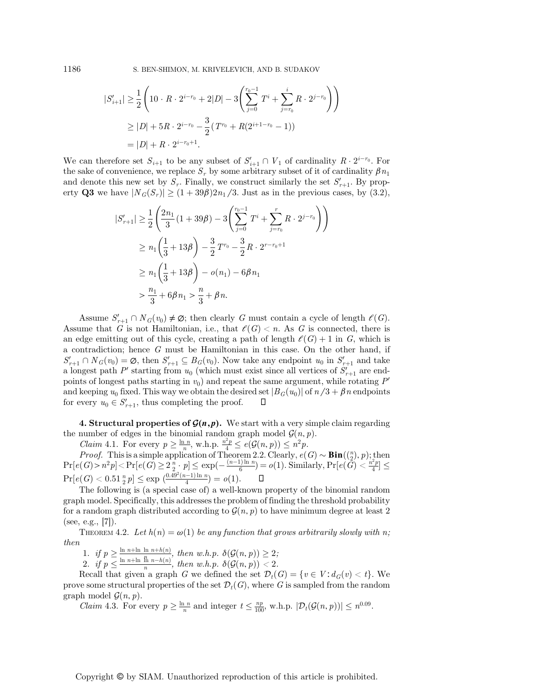1186 S. BEN-SHIMON, M. KRIVELEVICH, AND B. SUDAKOV

$$
|S'_{i+1}| \geq \frac{1}{2} \left( 10 \cdot R \cdot 2^{i-r_0} + 2|D| - 3 \left( \sum_{j=0}^{r_0 - 1} T^i + \sum_{j=r_0}^i R \cdot 2^{j-r_0} \right) \right)
$$
  
 
$$
\geq |D| + 5R \cdot 2^{i-r_0} - \frac{3}{2} (T^{r_0} + R(2^{i+1-r_0} - 1))
$$
  
 
$$
= |D| + R \cdot 2^{i-r_0+1}.
$$

We can therefore set  $S_{i+1}$  to be any subset of  $S'_{i+1} \cap V_1$  of cardinality  $R \cdot 2^{i-r_0}$ . For the sake of convenience, we replace  $S_r$  by some arbitrary subset of it of cardinality  $\beta n_1$ and denote this new set by  $S_r$ . Finally, we construct similarly the set  $S'_{r+1}$ . By prop-<br>orty  $\Omega^2$  we have  $|N_r(S)| > (1+30R)2r$ ,  $\Omega$  lust as in the provious cases, by  $(3.2)$ erty Q3 we have  $|N_G(S_r)| \ge (1 + 39\beta)2n_1/3$ . Just as in the previous cases, by (3.2),

$$
|S'_{r+1}| \geq \frac{1}{2} \left( \frac{2n_1}{3} (1 + 39\beta) - 3 \left( \sum_{j=0}^{r_0 - 1} T^i + \sum_{j=r_0}^r R \cdot 2^{j-r_0} \right) \right)
$$
  
\n
$$
\geq n_1 \left( \frac{1}{3} + 13\beta \right) - \frac{3}{2} T^{r_0} - \frac{3}{2} R \cdot 2^{r-r_0+1}
$$
  
\n
$$
\geq n_1 \left( \frac{1}{3} + 13\beta \right) - o(n_1) - 6\beta n_1
$$
  
\n
$$
> \frac{n_1}{3} + 6\beta n_1 > \frac{n}{3} + \beta n.
$$

Assume  $S'_{r+1} \cap N_G(v_0) \neq \emptyset$ ; then clearly G must contain a cycle of length  $\ell(G)$ . Assume that G is not Hamiltonian, i.e., that  $\ell(G) < n$ . As G is connected, there is an edge emitting out of this cycle, creating a path of length  $\ell(G) + 1$  in G, which is a contradiction; hence  $G$  must be Hamiltonian in this case. On the other hand, if  $S'_{r+1} \cap N_G(v_0) = \emptyset$ , then  $S'_{r+1} \subseteq B_G(v_0)$ . Now take any endpoint  $u_0$  in  $S'_{r+1}$  and take a longest path P' starting from  $u_0$  (which must exist since all vertices of  $S'_{r+1}$  are end-<br>points of longest paths starting in up) and repeat the same argument, while retating  $P'$ points of longest paths starting in  $v_0$ ) and repeat the same argument, while rotating  $P'$ and keeping  $u_0$  fixed. This way we obtain the desired set  $|B_G(u_0)|$  of  $n/3 + \beta n$  endpoints for every  $u_0 \in S'_{n+1}$ , thus completing the proof.  $\square$ for every  $u_0 \in S'_{r+1}$ , thus completing the proof.  $\Box$ 

**4. Structural properties of**  $\mathcal{G}(n,p)$ **.** We start with a very simple claim regarding the number of edges in the binomial random graph model  $\mathcal{G}(n, p)$ .<br>  $Claim\ 4.1. For every  $p \geq \frac{\ln n}{n}$ , w.h.p.  $\frac{n^2p}{4} \leq e(\mathcal{G}(n, p)) \leq n^2p$ .<br>  $Proof. This is a simple application of Theorem 2.2 Clearly,  $e(G)$ .$$ 

*Proof.* This is a simple application of Theorem 2.2. Clearly,  $e(G) \sim Bin((\binom{n}{2}, p);$  then  $(G) \geq n^2n! \geq \Pr\{e(G) \geq 2^n : n \leq \exp(-(n-1)\ln n) = o(1) \}$  Similarly,  $\Pr\{e(G) \geq \frac{n^2p}{2} \leq \exp(-n\ln n)\}$  $\Pr[e(G) > n^2p] < \Pr[e(\hat{G}) \ge 2\frac{n}{2}, p] \le \exp(-\frac{(n-1)\ln n}{6}) = o(1).$  Similarly,  $\Pr[e(\hat{G}) < \frac{n^2p}{4}] \le$  $\Pr[e(G) < 0.51 \frac{n}{2} p] \leq \exp\left(\frac{0.49^2(n-1)\ln n}{4}\right) = o(1).$ 

The following is (a special case of) a well-known property of the binomial random graph model. Specifically, this addresses the problem of finding the threshold probability for a random graph distributed according to  $\mathcal{G}(n, p)$  to have minimum degree at least 2 (see, e.g.,  $|7|$ ).

THEOREM 4.2. Let  $h(n) = \omega(1)$  be any function that grows arbitrarily slowly with n; then

1. if  $p \ge \frac{\ln n + \ln \ln n + h(n)}{n}$ , then w.h.p.  $\delta(\mathcal{G}(n, p)) \ge 2$ ;<br>2. if  $p \le \frac{\ln n + \ln \ln n - h(n)}{n}$ , then w.h.p.  $\delta(\mathcal{G}(n, p)) < 2$ .

Recall that given a graph G we defined the set  $\mathcal{D}_t(G) = \{v \in V : d_G(v) < t\}$ . We prove some structural properties of the set  $\mathcal{D}_t(G)$ , where G is sampled from the random graph model  $\mathcal{G}(n, p)$ .

Claim 4.3. For every  $p \ge \frac{\ln n}{n}$  and integer  $t \le \frac{np}{100}$ , w.h.p.  $|\mathcal{D}_t(\mathcal{G}(n, p))| \le n^{0.09}$ .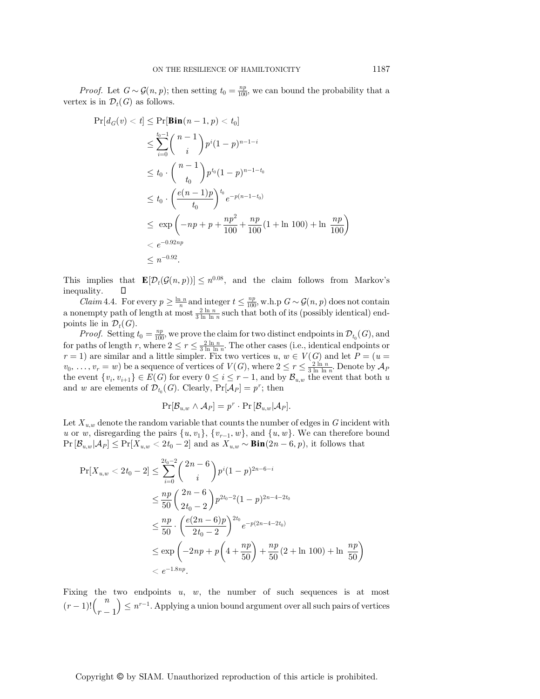*Proof.* Let  $G \sim \mathcal{G}(n, p)$ ; then setting  $t_0 = \frac{np}{100}$ , we can bound the probability that a vertex is in  $\mathcal{D}_t(G)$  as follows.

$$
\Pr[d_G(v) < t] \le \Pr[\mathbf{Bin}(n-1, p) < t_0] \\
\le \sum_{i=0}^{t_0-1} {n-1 \choose i} p^i (1-p)^{n-1-i} \\
\le t_0 \cdot {n-1 \choose t_0} p^{t_0} (1-p)^{n-1-t_0} \\
\le t_0 \cdot \left(\frac{e(n-1)p}{t_0}\right)^{t_0} e^{-p(n-1-t_0)} \\
\le \exp\left(-np + p + \frac{np^2}{100} + \frac{np}{100}(1 + \ln 100) + \ln \frac{np}{100}\right) \\
\le e^{-0.92np} \\
\le n^{-0.92}.
$$

This implies that  $\mathbf{E}[\mathcal{D}_t(\mathcal{G}(n, p))] \leq n^{0.08}$ , and the claim follows from Markov's inequality.  $\Box$ inequality.

*Claim* 4.4. For every  $p \ge \frac{\ln n}{n}$  and integer  $t \le \frac{np}{100}$ , w.h.p  $G \sim \mathcal{G}(n, p)$  does not contain a nonempty path of length at most  $\frac{2 \ln n}{3 \ln \ln n}$  such that both of its (possibly identical) endpoints lie in  $\mathcal{D}_t(G)$ .

*Proof.* Setting  $t_0 = \frac{np}{100}$ , we prove the claim for two distinct endpoints in  $\mathcal{D}_{t_0}(G)$ , and for paths of length r, where  $2 \le r \le \frac{2 \ln n}{3 \ln \ln n}$ . The other cases (i.e., identical endpoints or  $r = 1$ ) are similar and a little simpler. Fix two vertices u,  $w \in V(G)$  and let  $P = (u = u)$ <br> $v_1 = w_1$  be a sequence of vertices of  $V(G)$  where  $2 \le r \le \frac{2 \ln n}{r}$ . Denote by  $A_0$  $v_0, \ldots, v_r = w$  be a sequence of vertices of  $V(G)$ , where  $2 \le r \le \frac{2 \ln n}{3 \ln \ln n}$ . Denote by  $\mathcal{A}_P$ <br>the event  $\{v_1, v_2, \ldots\} \in E(G)$  for every  $0 \le i \le r-1$  and by  $\mathcal{B}$  the event that both  $v$ the event  $\{v_i, v_{i+1}\} \in E(G)$  for every  $0 \le i \le r-1$ , and by  $\mathcal{B}_{u,w}$  the event that both u and w are elements of  $\mathcal{D}_{t_0}(G)$ . Clearly,  $Pr[\mathcal{A}_P] = p^r$ ; then

$$
\Pr[\mathcal{B}_{u,w} \wedge \mathcal{A}_P] = p^r \cdot \Pr[\mathcal{B}_{u,w} | \mathcal{A}_P].
$$

Let  $X_{u,w}$  denote the random variable that counts the number of edges in G incident with u or w, disregarding the pairs  $\{u, v_1\}$ ,  $\{v_{r-1}, w\}$ , and  $\{u, w\}$ . We can therefore bound  $Pr[\mathcal{B}_{u,w}|\mathcal{A}_P] \leq Pr[X_{u,w} < 2t_0 - 2]$  and as  $X_{u,w} \sim Bin(2n - 6, p)$ , it follows that

$$
\Pr[X_{u,w} < 2t_0 - 2] \le \sum_{i=0}^{2t_0 - 2} \binom{2n - 6}{i} p^i (1 - p)^{2n - 6 - i}
$$
\n
$$
\le \frac{np}{50} \binom{2n - 6}{2t_0 - 2} p^{2t_0 - 2} (1 - p)^{2n - 4 - 2t_0}
$$
\n
$$
\le \frac{np}{50} \cdot \left(\frac{e(2n - 6)p}{2t_0 - 2}\right)^{2t_0} e^{-p(2n - 4 - 2t_0)}
$$
\n
$$
\le \exp\left(-2np + p\left(4 + \frac{np}{50}\right) + \frac{np}{50} (2 + \ln 100) + \ln \frac{np}{50}\right)
$$
\n
$$
< e^{-1.8np}.
$$

Fixing the two endpoints  $u, w$ , the number of such sequences is at most  $(r-1)!$  $\binom{n}{r-1}$  $r-1$  $\left( \sum_{n=1}^{\infty} a^{n}$ . Applying a union bound argument over all such pairs of vertices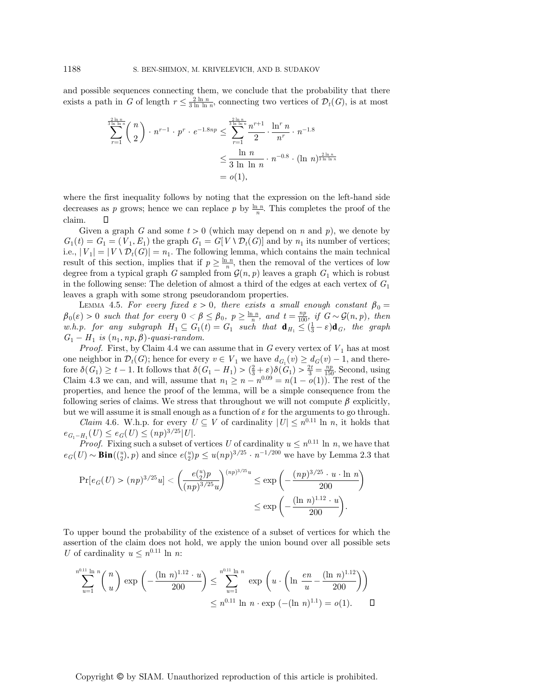and possible sequences connecting them, we conclude that the probability that there exists a path in G of length  $r \leq \frac{2 \ln n}{3 \ln \ln n}$ , connecting two vertices of  $\mathcal{D}_t(G)$ , is at most

$$
\sum_{r=1}^{\frac{2 \ln n}{3 \ln \ln n}} {n \choose 2} \cdot n^{r-1} \cdot p^r \cdot e^{-1.8np} \le \sum_{r=1}^{\frac{2 \ln n}{3 \ln \ln n}} \frac{n^{r+1}}{2} \cdot \frac{\ln^r n}{n^r} \cdot n^{-1.8}
$$
  

$$
\le \frac{\ln n}{3 \ln \ln n} \cdot n^{-0.8} \cdot (\ln n)^{\frac{2 \ln n}{3 \ln \ln n}}
$$
  
= o(1),

where the first inequality follows by noting that the expression on the left-hand side decreases as p grows; hence we can replace p by  $\frac{\ln n}{n}$ . This completes the proof of the claim.  $\Box$ 

Given a graph G and some  $t > 0$  (which may depend on n and p), we denote by  $G_1(t) = G_1 = (V_1, E_1)$  the graph  $G_1 = G[V \setminus \mathcal{D}_t(G)]$  and by  $n_1$  its number of vertices; i.e.,  $|V_1| = |V \setminus \mathcal{D}_t(G)| = n_1$ . The following lemma, which contains the main technical result of this section, implies that if  $p \geq \frac{\ln n}{n}$ , then the removal of the vertices of low degree from a typical graph G sampled from  $\mathcal{G}(n, p)$  leaves a graph  $G_1$  which is robust in the following sense: The deletion of almost a third of the edges at each vertex of  $G_1$ leaves a graph with some strong pseudorandom properties.

LEMMA 4.5. For every fixed  $\varepsilon > 0$ , there exists a small enough constant  $\beta_0 =$  $\beta_0(\varepsilon) > 0$  such that for every  $0 < \beta \leq \beta_0$ ,  $p \geq \frac{\ln n}{n}$ , and  $t = \frac{np}{n}$ , if  $G \sim \mathcal{G}(n, p)$ , then<br>  $\beta_0(\varepsilon) > 0$  such that  $\beta_0 \leq \frac{\ln n}{n}$ , then  $\frac{np}{n}$  is  $\frac{1}{n}$  of  $\frac{1}{n}$  the example. w.h.p. for any subgraph  $H_1 \subseteq G_1(t) = G_1$  such that  $\mathbf{d}_{H_1} \leq (\frac{1}{3} - \varepsilon) \mathbf{d}_G$ , the graph  $G = H$  is  $(n, m, \beta)$  quasi-random  $G_1 - H_1$  is  $(n_1, np, \beta)$ -quasi-random.

*Proof.* First, by Claim 4.4 we can assume that in  $G$  every vertex of  $V_1$  has at most one neighbor in  $\mathcal{D}_t(G)$ ; hence for every  $v \in V_1$  we have  $d_{G_1}(v) \geq d_G(v) - 1$ , and therefore  $\delta(\tilde{G}_1) \geq t - 1$ . It follows that  $\delta(G_1 - H_1) > (\frac{2}{3} + \varepsilon) \delta(\tilde{G}_1) > \frac{2t}{3} = \frac{np}{150}$ . Second, using Claim 4.3 we can and will assume that  $n \geq n - p(0.09 - p(1 - o(1)))$ . The rest of the Claim 4.3 we can, and will, assume that  $n_1 \ge n - n^{0.09} = n(1 - o(1))$ . The rest of the properties and hence the proof of the lemma will be a simple consequence from the properties, and hence the proof of the lemma, will be a simple consequence from the following series of claims. We stress that throughout we will not compute  $\beta$  explicitly, but we will assume it is small enough as a function of  $\varepsilon$  for the arguments to go through.

*Claim* 4.6. W.h.p. for every  $U \subseteq V$  of cardinality  $|U| \leq n^{0.11}$  ln n, it holds that  $e_{G_1-H_1}(U) \leq e_G(U) \leq (np)^{3/25} |U|.$ 

*Proof.* Fixing such a subset of vertices U of cardinality  $u \leq n^{0.11} \ln n$ , we have that  $e_G(U) \sim Bin(\binom{u}{2}, p)$  and since  $e(\binom{u}{2}p \leq u(np)^{3/25} \cdot n^{-1/200}$  we have by Lemma 2.3 that

$$
\Pr[e_G(U) > (np)^{3/25}u] < \left(\frac{e\binom{u}{2}p}{(np)^{3/25}u}\right)^{(np)^{3/25}u} \le \exp\left(-\frac{(np)^{3/25} \cdot u \cdot \ln n}{200}\right) \le \exp\left(-\frac{(\ln n)^{1.12} \cdot u}{200}\right).
$$

To upper bound the probability of the existence of a subset of vertices for which the assertion of the claim does not hold, we apply the union bound over all possible sets U of cardinality  $u \leq n^{0.11} \ln n$ :

$$
\sum_{u=1}^{n^{0.11} \ln n} {n \choose u} \exp\left(-\frac{(\ln n)^{1.12} \cdot u}{200}\right) \le \sum_{u=1}^{n^{0.11} \ln n} \exp\left(u \cdot \left(\ln \frac{en}{u} - \frac{(\ln n)^{1.12}}{200}\right)\right)
$$
  
 $\le n^{0.11} \ln n \cdot \exp(-(\ln n)^{1.1}) = o(1).$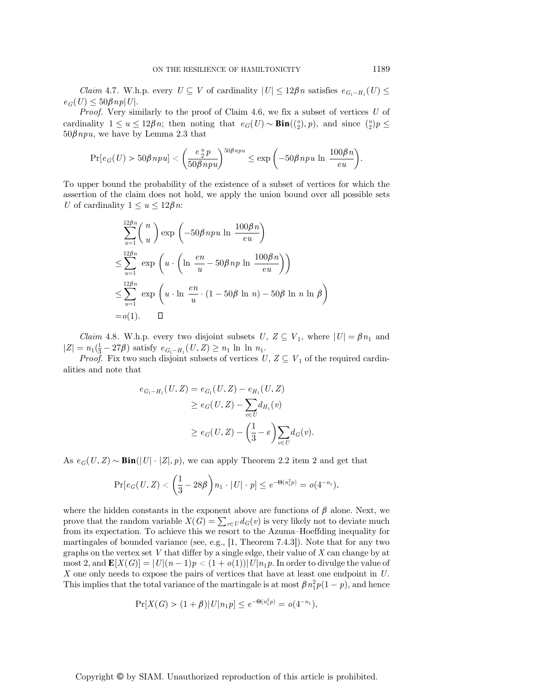*Claim* 4.7. W.h.p. every  $U \subseteq V$  of cardinality  $|U| \leq 12\beta n$  satisfies  $e_{G_1-H_1}(U) \leq$  $e_G(U) \leq 50\beta np|U|.$ 

*Proof.* Very similarly to the proof of Claim 4.6, we fix a subset of vertices  $U$  of cardinality  $1 \le u \le 12\beta n$ ; then noting that  $e_G(U) \sim Bin(\binom{u}{2}, p)$ , and since  $\binom{u}{2}p \le 50\beta n n$  we have by Lemma 2,3 that  $50\beta npu$ , we have by Lemma 2.3 that

$$
\Pr[e_G(U) > 50\beta n p u] < \left(\frac{e^{\frac{u}{2}} p}{50\beta n p u}\right)^{50\beta n p u} \le \exp\left(-50\beta n p u \ln \frac{100\beta n}{e u}\right).
$$

To upper bound the probability of the existence of a subset of vertices for which the assertion of the claim does not hold, we apply the union bound over all possible sets U of cardinality  $1 \le u \le 12\beta n$ :

$$
\sum_{u=1}^{12\beta n} {n \choose u} \exp\left(-50\beta n p u \ln \frac{100\beta n}{eu}\right)
$$
  

$$
\leq \sum_{u=1}^{12\beta n} \exp\left(u \cdot \left(\ln \frac{en}{u} - 50\beta n p \ln \frac{100\beta n}{eu}\right)\right)
$$
  

$$
\leq \sum_{u=1}^{12\beta n} \exp\left(u \cdot \ln \frac{en}{u} \cdot (1 - 50\beta \ln n) - 50\beta \ln n \ln \beta\right)
$$
  
= o(1).

*Claim* 4.8. W.h.p. every two disjoint subsets  $U, Z \subseteq V_1$ , where  $|U| = \beta n_1$  and  $|Z| = n_1(\frac{1}{3} - 27\beta)$  satisfy  $e_{G_1-H_1}(U, Z) \geq n_1 \ln \ln n_1$ .<br>Proof. Fix two such disjoint subsets of vertices L

*Proof.* Fix two such disjoint subsets of vertices  $U, Z \subseteq V_1$  of the required cardinalities and note that

$$
e_{G_1-H_1}(U, Z) = e_{G_1}(U, Z) - e_{H_1}(U, Z)
$$
  
\n
$$
\ge e_G(U, Z) - \sum_{v \in U} d_{H_1}(v)
$$
  
\n
$$
\ge e_G(U, Z) - \left(\frac{1}{3} - \varepsilon\right) \sum_{v \in U} d_G(v).
$$

As  $e_G(U, Z) \sim Bin(|U| \cdot |Z|, p)$ , we can apply Theorem 2.2 item 2 and get that

$$
\Pr[e_G(U, Z) < \left(\frac{1}{3} - 28\beta\right)n_1 \cdot |U| \cdot p] \leq e^{-\Theta(n_1^2 p)} = o(4^{-n_1}),
$$

where the hidden constants in the exponent above are functions of  $\beta$  alone. Next, we prove that the random variable  $X(G) = \sum_{v \in U} d_G(v)$  is very likely not to deviate much from its expectation. To achieve this we resort to the Azuma–Hoeffding inequality for from its expectation. To achieve this we resort to the Azuma–Hoeffding inequality for martingales of bounded variance (see, e.g.,  $[1,$  Theorem 7.4.3]). Note that for any two graphs on the vertex set  $V$  that differ by a single edge, their value of  $X$  can change by at most 2, and  $\mathbf{E}[X(G)] = |U|(n-1)p < (1+o(1))|U|n_1p$ . In order to divulge the value of X one only needs to expose the pairs of vertices that have at least one endpoint in U. This implies that the total variance of the martingale is at most  $\beta n_1^2 p(1-p)$ , and hence

$$
\Pr[X(G) > (1+\beta)|U|n_1p] \le e^{-\Theta(n_1^2p)} = o(4^{-n_1}),
$$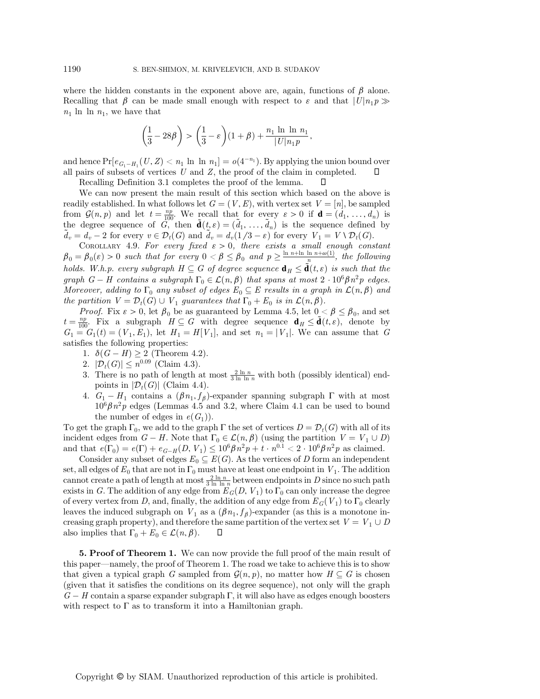where the hidden constants in the exponent above are, again, functions of  $\beta$  alone. Recalling that  $\beta$  can be made small enough with respect to  $\varepsilon$  and that  $|U|n_1p \gg$  $n_1$  ln ln  $n_1$ , we have that

$$
\left(\frac{1}{3} - 28\beta\right) > \left(\frac{1}{3} - \varepsilon\right)(1 + \beta) + \frac{n_1 \ln \ln n_1}{|U|n_1 p},
$$

and hence  $Pr[e_{G_1-H_1}(U, Z) < n_1 \ln \ln n_1] = o(4^{-n_1})$ . By applying the union bound over all pairs of subsets of vertices U and Z, the proof of the claim in completed.  $\square$ all pairs of subsets of vertices  $U$  and  $Z$ , the proof of the claim in completed. Recalling Definition 3.1 completes the proof of the lemma. □

We can now present the main result of this section which based on the above is readily established. In what follows let  $G = (V, E)$ , with vertex set  $V = [n]$ , be sampled from  $\mathcal{G}(n, p)$  and let  $t = \frac{np}{100}$ . We recall that for every  $\varepsilon > 0$  if  $\mathbf{d} = (d_1, \ldots, d_n)$  is<br>the degree sequence of  $G$  then  $\tilde{\mathbf{d}}(t, \varepsilon) = (\tilde{d}, \ldots, \tilde{d}_n)$  is the sequence defined by the degree sequence of  $\tilde{G}_{\lambda}^{(0)}$  then  $\tilde{\mathbf{d}}(t, \varepsilon) = (\tilde{d}_1, \ldots, \tilde{d}_n)$  is the sequence defined by  $\tilde{d}_1 = d - 2$  for every  $v \in \mathcal{D}_\lambda(G)$  and  $\tilde{d}_2 = d (1/3 - \varepsilon)$  for every  $V_{\lambda} = V \setminus \mathcal{D}_\lambda(G)$  $\tilde{d}_v = d_v - 2$  for every  $v \in \mathcal{D}_t(G)$  and  $\tilde{d}_v = d_v(1/3 - \varepsilon)$  for every  $V_1 = V \setminus \mathcal{D}_t(G)$ .<br>COPOLLARY 4.9 For every fixed  $\varepsilon > 0$ , there exists a small enough cons

COROLLARY 4.9. For every fixed  $\varepsilon > 0$ , there exists a small enough constant  $\beta_0 = \beta_0(\varepsilon) > 0$  such that for every  $0 < \beta \leq \beta_0$  and  $p \geq \frac{\ln n + \ln \ln n + \omega(1)}{n}$ , the following holds. W.h.p. every subgraph  $H \subseteq G$  of degree sequence  $\mathbf{d}_H \leq \tilde{\mathbf{d}}(t,\varepsilon)$  is such that the graph  $G - H$  contains a subgraph  $\Gamma_0 \in \mathcal{L}(n, \beta)$  that spans at most  $2 \cdot 10^6 \beta n^2 p$  edges. Moreover, adding to  $\Gamma_0$  any subset of edges  $E_0 \subseteq E$  results in a graph in  $\mathcal{L}(n, \beta)$  and the partition  $V = \mathcal{D}_t(G) \cup V_1$  guarantees that  $\Gamma_0 + E_0$  is in  $\mathcal{L}(n, \beta)$ .

*Proof.* Fix  $\varepsilon > 0$ , let  $\beta_0$  be as guaranteed by Lemma 4.5, let  $0 < \beta \leq \beta_0$ , and set  $t = \frac{np}{100}$ . Fix a subgraph  $H \subseteq G$  with degree sequence  $\mathbf{d}_H \leq \tilde{\mathbf{d}}(t, \varepsilon)$ , denote by  $G = G(t) = (V, F)$  let  $H = H[V]$  and set  $n_i = |V_i|$ . We can assume that  $G$  $G_1 = G_1(t) = (V_1, E_1)$ , let  $H_1 = H[V_1]$ , and set  $n_1 = |V_1|$ . We can assume that G satisfies the following properties:

- 1.  $\delta(G-H) \geq 2$  (Theorem 4.2).
- 2.  $|\mathcal{D}_t(G)| \leq n^{0.09}$  (Claim 4.3).
- 3. There is no path of length at most  $\frac{2 \ln n}{3 \ln \ln n}$  with both (possibly identical) endpoints in  $|\mathcal{D}_t(G)|$  (Claim 4.4).
- 4.  $G_1 H_1$  contains a  $(\beta n_1, f_\beta)$ -expander spanning subgraph  $\Gamma$  with at most  $10^6 \beta n^2 p$  edges (Lemmas 4.5 and 3.2, where Claim 4.1 can be used to bound the number of edges in  $e(G_1)$ .

To get the graph  $\Gamma_0$ , we add to the graph  $\Gamma$  the set of vertices  $D = \mathcal{D}_t(G)$  with all of its incident edges from  $G - H$ . Note that  $\Gamma_0 \in \mathcal{L}(n, \beta)$  (using the partition  $V = V_1 \cup D$ )<br>and that  $e(\Gamma_0) = e(\Gamma) + e_G$   $\Gamma(D, V_1) < 10^6 R n^2 n + t$ ,  $n^{0.1} < 2$ ,  $10^6 R n^2 n$  as claimed and that  $e(\Gamma_0) = e(\Gamma) + e_{G-H}(D, V_1) \leq 10^6 \beta n^2 p + t \cdot n^{0.1} < 2 \cdot 10^6 \beta n^2 p$  as claimed.<br>Consider any subset of edges  $F_e \subseteq E(G)$ . As the vertices of D form an independent

Consider any subset of edges  $E_0 \subseteq E(G)$ . As the vertices of D form an independent set, all edges of  $E_0$  that are not in  $\Gamma_0$  must have at least one endpoint in  $V_1$ . The addition cannot create a path of length at most  $\frac{2 \ln n}{3 \ln \ln n}$  between endpoints in D since no such path exists in G. The addition of any edge from  $E_G(D, V_1)$  to  $\Gamma_0$  can only increase the degree of every vertex from D, and, finally, the addition of any edge from  $E_G(V_1)$  to  $\Gamma_0$  clearly leaves the induced subgraph on  $V_1$  as a  $(\beta n_1, f_\beta)$ -expander (as this is a monotone increasing graph property), and therefore the same partition of the vertex set  $V = V_1 \cup D$ <br>also implies that  $\Gamma_0 + E_0 \in \mathcal{L}(n, \beta)$ also implies that  $\Gamma_0 + E_0 \in \mathcal{L}(n, \beta)$ .

5. Proof of Theorem 1. We can now provide the full proof of the main result of this paper—namely, the proof of Theorem 1. The road we take to achieve this is to show that given a typical graph G sampled from  $\mathcal{G}(n, p)$ , no matter how  $H \subseteq G$  is chosen (given that it satisfies the conditions on its degree sequence), not only will the graph  $G-H$  contain a sparse expander subgraph  $\Gamma$ , it will also have as edges enough boosters with respect to  $\Gamma$  as to transform it into a Hamiltonian graph.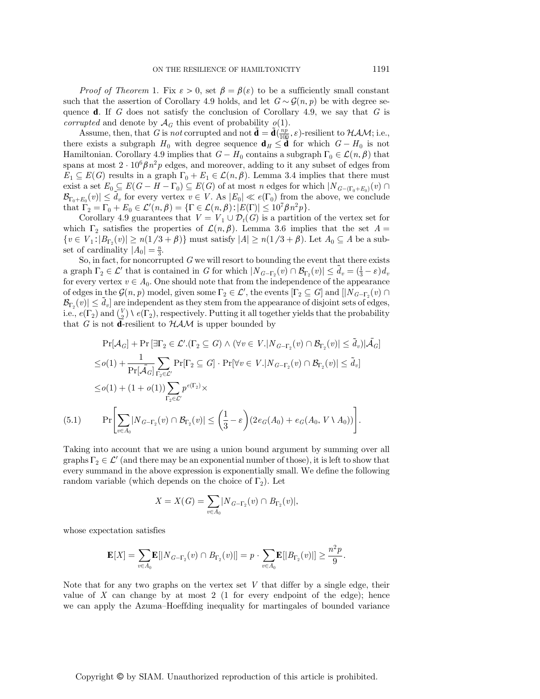*Proof of Theorem* 1. Fix  $\varepsilon > 0$ , set  $\beta = \beta(\varepsilon)$  to be a sufficiently small constant such that the assertion of Corollary 4.9 holds, and let  $G \sim \mathcal{G}(n, p)$  be with degree sequence **d**. If G does not satisfy the conclusion of Corollary 4.9, we say that  $G$  is *corrupted* and denote by  $\mathcal{A}_G$  this event of probability  $o(1)$ .

Assume, then, that G is not corrupted and not  $\tilde{\mathbf{d}} = \tilde{\mathbf{d}}(\frac{np}{100}, \varepsilon)$ -resilient to  $HAM$ ; i.e., there exists a subgraph  $H_0$  with degree sequence  $\mathbf{d}_H \leq \mathbf{d}$  for which  $G - H_0$  is not Hamiltonian. Corollary 4.9 implies that  $G - H_0$  contains a subgraph  $\Gamma_0 \in \mathcal{L}(n, \beta)$  that spans at most  $2 \cdot 10^6 \beta n^2 p$  edges, and moreover, adding to it any subset of edges from  $E_1 \subseteq E(G)$  results in a graph  $\Gamma_0 + E_1 \in \mathcal{L}(n, \beta)$ . Lemma 3.4 implies that there must exist a set  $E_0 \subseteq E(G - H - \Gamma_0) \subseteq E(G)$  of at most n edges for which  $|N_{G-(\Gamma_0+E_0)}(v) \cap$  $\mathcal{B}_{\Gamma_0+E_0}(v) \leq \tilde{d}_v$  for every vertex  $v \in V$ . As  $|E_0| \ll e(\Gamma_0)$  from the above, we conclude that  $\Gamma_2 = \Gamma_0 + E_0 \in \mathcal{L}'(n, \beta) = {\Gamma \in \mathcal{L}(n, \beta) : |E(\Gamma)| \le 10^7 \beta n^2 p}.$ <br>Corollary 4.9 guarantees that  $V = V + \mathcal{D}(G)$  is a partition

Corollary 4.9 guarantees that  $V = V_1 \cup \mathcal{D}_t(G)$  is a partition of the vertex set for which  $\Gamma_2$  satisfies the properties of  $\mathcal{L}(n,\beta)$ . Lemma 3.6 implies that the set  $A =$  $\{v \in V_1: |B_{\Gamma_2}(v)| \ge n(1/3+\beta)\}\$  must satisfy  $|A| \ge n(1/3+\beta)$ . Let  $A_0 \subseteq A$  be a subset of cardinality  $|A_0| = \frac{n}{3}$ .<br>So in fact, for noncorru

So, in fact, for noncorrupted  $G$  we will resort to bounding the event that there exists a graph  $\Gamma_2 \in \mathcal{L}'$  that is contained in G for which  $|N_{G-\Gamma_2}(v) \cap \mathcal{B}_{\Gamma_2}(v)| \leq \tilde{d}_v = (\frac{1}{3} - \varepsilon) d_v$ <br>for every vertex  $v \in A$ . One should note that from the independence of the appearance for every vertex  $v \in A_0$ . One should note that from the independence of the appearance of edges in the  $\mathcal{G}(n, p)$  model, given some  $\Gamma_2 \in \mathcal{L}'$ , the events  $[\Gamma_2 \subseteq G]$  and  $[|N_{G-\Gamma_2}(v) \cap$ <br> $\mathcal{B}_{\sim}(v)| \leq \tilde{d}$  l are independent as they stem from the appearance of disjoint sets of edges  $\mathcal{B}_{\Gamma_2}(v) \le \tilde{d}_v$  are independent as they stem from the appearance of disjoint sets of edges, i.e.,  $e(\Gamma_2)$  and  $\binom{V}{2} \setminus e(\Gamma_2)$ , respectively. Putting it all together yields that the probability that  $G$  is not **d**-resilient to  $\mathcal{H}AM$  is upper bounded by that G is not **d**-resilient to  $HAM$  is upper bounded by

$$
\Pr[\mathcal{A}_{G}] + \Pr[\exists \Gamma_{2} \in \mathcal{L}'.(\Gamma_{2} \subseteq G) \land (\forall v \in V. |N_{G-\Gamma_{2}}(v) \cap \mathcal{B}_{\Gamma_{2}}(v)| \leq \tilde{d}_{v})|\tilde{\mathcal{A}}_{G}]
$$
\n
$$
\leq o(1) + \frac{1}{\Pr[\tilde{\mathcal{A}}_{G}] \sum_{\Gamma_{2} \in \mathcal{L'}} \Pr[\Gamma_{2} \subseteq G] \cdot \Pr[\forall v \in V. |N_{G-\Gamma_{2}}(v) \cap \mathcal{B}_{\Gamma_{2}}(v)| \leq \tilde{d}_{v}]
$$
\n
$$
\leq o(1) + (1 + o(1)) \sum_{\Gamma_{2} \in \mathcal{L'}} p^{e(\Gamma_{2})} \times
$$
\n
$$
\Pr\left[\sum_{v \in A_{0}} |N_{G-\Gamma_{2}}(v) \cap \mathcal{B}_{\Gamma_{2}}(v)| \leq \left(\frac{1}{3} - \varepsilon\right)(2e_{G}(A_{0}) + e_{G}(A_{0}, V \setminus A_{0}))\right].
$$

Taking into account that we are using a union bound argument by summing over all graphs  $\Gamma_2 \in \mathcal{L}'$  (and there may be an exponential number of those), it is left to show that every summand in the above expression is exponentially small. We define the following random variable (which depends on the choice of  $\Gamma_2$ ). Let

$$
X = X(G) = \sum_{v \in A_0} |N_{G - \Gamma_2}(v) \cap B_{\Gamma_2}(v)|,
$$

whose expectation satisfies

$$
\mathbf{E}[X] = \sum_{v \in A_0} \mathbf{E}[|N_{G-\Gamma_2}(v) \cap B_{\Gamma_2}(v)|] = p \cdot \sum_{v \in A_0} \mathbf{E}[|B_{\Gamma_2}(v)|] \ge \frac{n^2 p}{9}.
$$

Note that for any two graphs on the vertex set  $V$  that differ by a single edge, their value of  $X$  can change by at most 2 (1 for every endpoint of the edge); hence we can apply the Azuma–Hoeffding inequality for martingales of bounded variance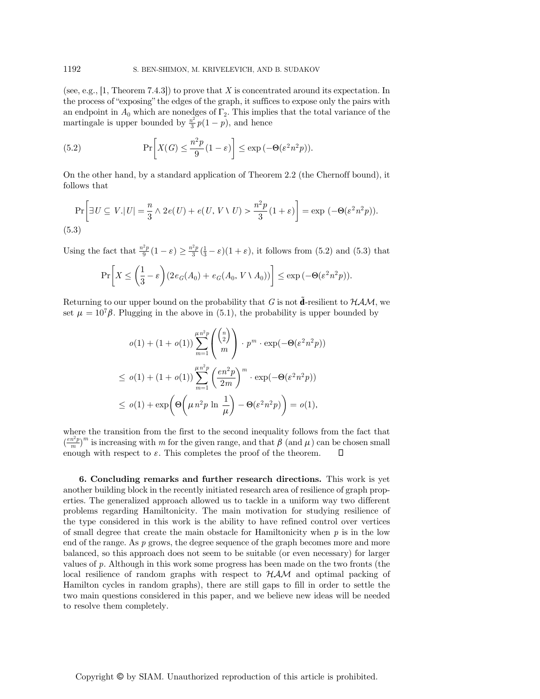(see, e.g., [1, Theorem 7.4.3]) to prove that X is concentrated around its expectation. In the process of "exposing" the edges of the graph, it suffices to expose only the pairs with an endpoint in  $A_0$  which are nonedges of  $\Gamma_2$ . This implies that the total variance of the martingale is upper bounded by  $\frac{n^2}{3}p(1-p)$ , and hence

(5.2) 
$$
\Pr\left[X(G) \leq \frac{n^2 p}{9} (1 - \varepsilon)\right] \leq \exp\left(-\Theta(\varepsilon^2 n^2 p)\right).
$$

On the other hand, by a standard application of Theorem 2.2 (the Chernoff bound), it follows that

$$
\Pr\bigg[\exists U \subseteq V. |U| = \frac{n}{3} \land 2e(U) + e(U, V \setminus U) > \frac{n^2 p}{3} (1 + \varepsilon) \bigg] = \exp\left(-\Theta(\varepsilon^2 n^2 p)\right).
$$
\n(5.3)

Using the fact that  $\frac{n^2p}{9}(1-\varepsilon) \ge \frac{n^2p}{3}(\frac{1}{3}-\varepsilon)(1+\varepsilon)$ , it follows from (5.2) and (5.3) that

$$
\Pr\bigg[X \le \bigg(\frac{1}{3} - \varepsilon\bigg) (2e_G(A_0) + e_G(A_0, V \setminus A_0))\bigg] \le \exp\left(-\Theta(\varepsilon^2 n^2 p)\right).
$$

Returning to our upper bound on the probability that G is not **d**-resilient to  $HAM$ , we set  $\mu = 10^7 \beta$ . Plugging in the above in (5.1), the probability is upper bounded by

$$
o(1) + (1 + o(1)) \sum_{m=1}^{\mu n^2 p} \binom{\binom{n}{2}}{m} \cdot p^m \cdot \exp(-\Theta(\varepsilon^2 n^2 p))
$$
  
\n
$$
\leq o(1) + (1 + o(1)) \sum_{m=1}^{\mu n^2 p} \left(\frac{en^2 p}{2m}\right)^m \cdot \exp(-\Theta(\varepsilon^2 n^2 p))
$$
  
\n
$$
\leq o(1) + \exp\left(\Theta\left(\mu n^2 p \ln \frac{1}{\mu}\right) - \Theta(\varepsilon^2 n^2 p)\right) = o(1),
$$

where the transition from the first to the second inequality follows from the fact that  $\binom{m}{m}$  is increasing with m or the given range, and that  $p$  (and  $\mu$ ) can be enough with respect to  $\varepsilon$ . This completes the proof of the theorem.  $\left(\frac{en^2p}{m}\right)^m$  is increasing with m for the given range, and that  $\beta$  (and  $\mu$ ) can be chosen small

6. Concluding remarks and further research directions. This work is yet another building block in the recently initiated research area of resilience of graph properties. The generalized approach allowed us to tackle in a uniform way two different problems regarding Hamiltonicity. The main motivation for studying resilience of the type considered in this work is the ability to have refined control over vertices of small degree that create the main obstacle for Hamiltonicity when  $p$  is in the low end of the range. As p grows, the degree sequence of the graph becomes more and more balanced, so this approach does not seem to be suitable (or even necessary) for larger values of  $p$ . Although in this work some progress has been made on the two fronts (the local resilience of random graphs with respect to  $HAM$  and optimal packing of Hamilton cycles in random graphs), there are still gaps to fill in order to settle the two main questions considered in this paper, and we believe new ideas will be needed to resolve them completely.